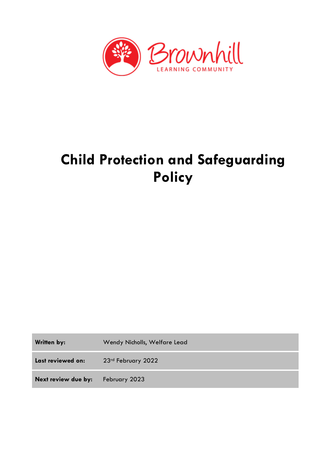

# **Child Protection and Safeguarding Policy**

| Written by:                       | Wendy Nicholls, Welfare Lead |
|-----------------------------------|------------------------------|
| Last reviewed on:                 | 23rd February 2022           |
| Next review due by: February 2023 |                              |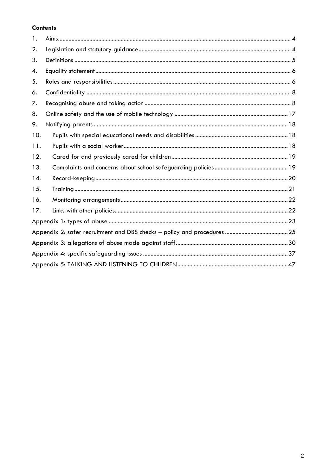# **Contents**

| 1.  |  |  |  |
|-----|--|--|--|
| 2.  |  |  |  |
| 3.  |  |  |  |
| 4.  |  |  |  |
| 5.  |  |  |  |
| 6.  |  |  |  |
| 7.  |  |  |  |
| 8.  |  |  |  |
| 9.  |  |  |  |
| 10. |  |  |  |
| 11. |  |  |  |
| 12. |  |  |  |
| 13. |  |  |  |
| 14. |  |  |  |
| 15. |  |  |  |
| 16. |  |  |  |
| 17. |  |  |  |
|     |  |  |  |
|     |  |  |  |
|     |  |  |  |
|     |  |  |  |
|     |  |  |  |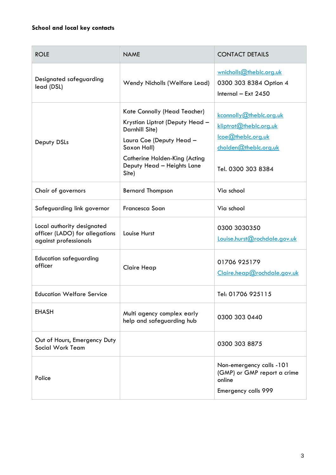# **School and local key contacts**

| <b>ROLE</b>                                                                           | <b>NAME</b>                                                                                                                                                                                                 | <b>CONTACT DETAILS</b>                                                                                                    |
|---------------------------------------------------------------------------------------|-------------------------------------------------------------------------------------------------------------------------------------------------------------------------------------------------------------|---------------------------------------------------------------------------------------------------------------------------|
| Designated safeguarding<br>lead (DSL)                                                 | Wendy Nicholls (Welfare Lead)                                                                                                                                                                               | wnicholls@theblc.org.uk<br>0300 303 8384 Option 4<br>Internal $-$ Ext 2450                                                |
| Deputy DSLs                                                                           | Kate Connolly (Head Teacher)<br>Krystian Liptrot (Deputy Head -<br>Darnhill Site)<br>Laura Coe (Deputy Head -<br>Saxon Hall)<br><b>Catherine Holden-King (Acting</b><br>Deputy Head - Heights Lane<br>Site) | kconnolly@theblc.org.uk<br>$k$ liptrot@theblc.org.uk<br>lcoe@theblc.org.uk<br>cholden@theblc.org.uk<br>Tel. 0300 303 8384 |
| Chair of governors                                                                    | <b>Bernard Thompson</b>                                                                                                                                                                                     | Via school                                                                                                                |
| Safeguarding link governor                                                            | Francesca Soan                                                                                                                                                                                              | Via school                                                                                                                |
| Local authority designated<br>officer (LADO) for allegations<br>against professionals | Louise Hurst                                                                                                                                                                                                | 0300 3030350<br>Louise.hurst@rochdale.gov.uk                                                                              |
| <b>Education safeguarding</b><br>officer                                              | <b>Claire Heap</b>                                                                                                                                                                                          | 01706 925179<br>Claire.heap@rochdale.gov.uk                                                                               |
| <b>Education Welfare Service</b>                                                      |                                                                                                                                                                                                             | Tel: 01706 925115                                                                                                         |
| <b>EHASH</b>                                                                          | Multi agency complex early<br>help and safeguarding hub                                                                                                                                                     | 0300 303 0440                                                                                                             |
| Out of Hours, Emergency Duty<br>Social Work Team                                      |                                                                                                                                                                                                             | 0300 303 8875                                                                                                             |
| Police                                                                                |                                                                                                                                                                                                             | Non-emergency calls -101<br>(GMP) or GMP report a crime<br>online<br><b>Emergency calls 999</b>                           |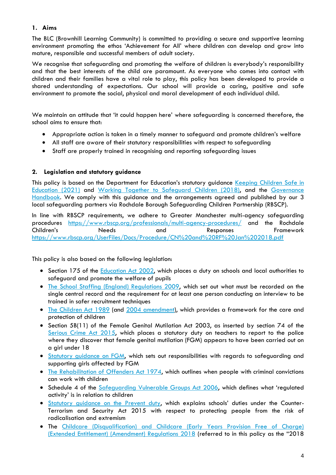# **1. Aims**

The BLC (Brownhill Learning Community) is committed to providing a secure and supportive learning environment promoting the ethos 'Achievement for All' where children can develop and grow into mature, responsible and successful members of adult society.

We recognise that safeguarding and promoting the welfare of children is everybody's responsibility and that the best interests of the child are paramount. As everyone who comes into contact with children and their families have a vital role to play, this policy has been developed to provide a shared understanding of expectations. Our school will provide a caring, positive and safe environment to promote the social, physical and moral development of each individual child.

We maintain an attitude that 'it could happen here' where safeguarding is concerned therefore, the school aims to ensure that:

- Appropriate action is taken in a timely manner to safeguard and promote children's welfare
- All staff are aware of their statutory responsibilities with respect to safeguarding
- Staff are properly trained in recognising and reporting safeguarding issues

# **2. Legislation and statutory guidance**

This policy is based on the Department for Education's statutory guidance Keeping Children Safe in [Education \(2021\)](https://www.gov.uk/government/publications/keeping-children-safe-in-education--2) and [Working Together to Safeguard Children \(2018\),](https://www.gov.uk/government/publications/working-together-to-safeguard-children--2) and the [Governance](https://www.gov.uk/government/publications/governance-handbook)  [Handbook.](https://www.gov.uk/government/publications/governance-handbook) We comply with this guidance and the arrangements agreed and published by our 3 local safeguarding partners via Rochdale Borough Safeguarding Children Partnership (RBSCP).

In line with RBSCP requirements, we adhere to Greater Manchester multi-agency safeguarding procedures <https://www.rbscp.org/professionals/multi-agency-procedures/> and the Rochdale Children's Needs and Responses Framework <https://www.rbscp.org/UserFiles/Docs/Procedure/CN%20and%20RF%20Jan%202018.pdf>

This policy is also based on the following legislation:

- Section 175 of the [Education Act 2002,](http://www.legislation.gov.uk/ukpga/2002/32/section/175) which places a duty on schools and local authorities to safeguard and promote the welfare of pupils
- . [The School Staffing \(England\) Regulations 2009,](http://www.legislation.gov.uk/uksi/2009/2680/contents/made) which set out what must be recorded on the single central record and the requirement for at least one person conducting an interview to be trained in safer recruitment techniques
- [The Children Act 1989](http://www.legislation.gov.uk/ukpga/1989/41) (and [2004 amendment\)](http://www.legislation.gov.uk/ukpga/2004/31/contents), which provides a framework for the care and protection of children
- Section 5B(11) of the Female Genital Mutilation Act 2003, as inserted by section 74 of the [Serious Crime Act 2015,](http://www.legislation.gov.uk/ukpga/2015/9/part/5/crossheading/female-genital-mutilation) which places a statutory duty on teachers to report to the police where they discover that female genital mutilation (FGM) appears to have been carried out on a girl under 18
- [Statutory guidance on FGM,](https://www.gov.uk/government/publications/multi-agency-statutory-guidance-on-female-genital-mutilation) which sets out responsibilities with regards to safeguarding and supporting girls affected by FGM
- [The Rehabilitation of Offenders Act 1974,](http://www.legislation.gov.uk/ukpga/1974/53) which outlines when people with criminal convictions can work with children
- Schedule 4 of the [Safeguarding Vulnerable Groups Act 2006](http://www.legislation.gov.uk/ukpga/2006/47/schedule/4), which defines what 'regulated activity' is in relation to children
- [Statutory guidance on the Prevent duty](https://www.gov.uk/government/publications/prevent-duty-guidance), which explains schools' duties under the Counter-Terrorism and Security Act 2015 with respect to protecting people from the risk of radicalisation and extremism
- The [Childcare \(Disqualification\) and Childcare \(Early Years Provision Free of Charge\)](http://www.legislation.gov.uk/uksi/2018/794/contents/made)  [\(Extended Entitlement\) \(Amendment\) Regulations 2018](http://www.legislation.gov.uk/uksi/2018/794/contents/made) (referred to in this policy as the "2018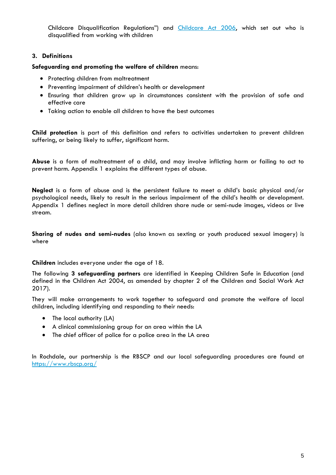Childcare Disqualification Regulations") and [Childcare Act 2006,](http://www.legislation.gov.uk/ukpga/2006/21/contents) which set out who is disqualified from working with children

# **3. Definitions**

**Safeguarding and promoting the welfare of children** means:

- Protecting children from maltreatment
- Preventing impairment of children's health or development
- Ensuring that children grow up in circumstances consistent with the provision of safe and effective care
- Taking action to enable all children to have the best outcomes

**Child protection** is part of this definition and refers to activities undertaken to prevent children suffering, or being likely to suffer, significant harm.

**Abuse** is a form of maltreatment of a child, and may involve inflicting harm or failing to act to prevent harm. Appendix 1 explains the different types of abuse.

**Neglect** is a form of abuse and is the persistent failure to meet a child's basic physical and/or psychological needs, likely to result in the serious impairment of the child's health or development. Appendix 1 defines neglect in more detail children share nude or semi-nude images, videos or live stream.

**Sharing of nudes and semi-nudes** (also known as sexting or youth produced sexual imagery) is where

**Children** includes everyone under the age of 18.

The following **3 safeguarding partners** are identified in Keeping Children Safe in Education (and defined in the Children Act 2004, as amended by chapter 2 of the Children and Social Work Act 2017).

They will make arrangements to work together to safeguard and promote the welfare of local children, including identifying and responding to their needs:

- The local authority (LA)
- A clinical commissioning group for an area within the LA
- The chief officer of police for a police area in the LA area

In Rochdale, our partnership is the RBSCP and our local safeguarding procedures are found at <https://www.rbscp.org/>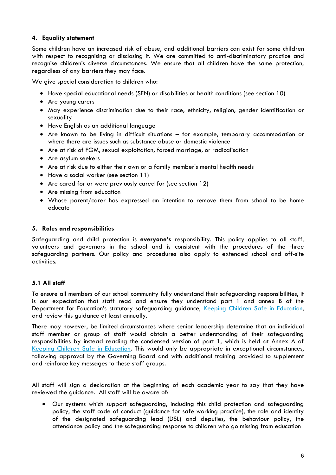# **4. Equality statement**

Some children have an increased risk of abuse, and additional barriers can exist for some children with respect to recognising or disclosing it. We are committed to anti-discriminatory practice and recognise children's diverse circumstances. We ensure that all children have the same protection, regardless of any barriers they may face.

We give special consideration to children who:

- Have special educational needs (SEN) or disabilities or health conditions (see section 10)
- Are young carers
- May experience discrimination due to their race, ethnicity, religion, gender identification or sexuality
- Have English as an additional language
- Are known to be living in difficult situations for example, temporary accommodation or where there are issues such as substance abuse or domestic violence
- Are at risk of FGM, sexual exploitation, forced marriage, or radicalisation
- Are asylum seekers
- Are at risk due to either their own or a family member's mental health needs
- Have a social worker (see section 11)
- Are cared for or were previously cared for (see section 12)
- Are missing from education
- Whose parent/carer has expressed an intention to remove them from school to be home educate

#### **5. Roles and responsibilities**

Safeguarding and child protection is **everyone's** responsibility. This policy applies to all staff, volunteers and governors in the school and is consistent with the procedures of the three safeguarding partners. Our policy and procedures also apply to extended school and off-site activities.

# **5.1 All staff**

To ensure all members of our school community fully understand their safeguarding responsibilities, it is our expectation that staff read and ensure they understand part 1 and annex B of the Department for Education's statutory safeguarding guidance, [Keeping Children Safe in Education,](https://www.gov.uk/government/publications/keeping-children-safe-in-education--2) and review this guidance at least annually.

There may however, be limited circumstances where senior leadership determine that an individual staff member or group of staff would obtain a better understanding of their safeguarding responsibilities by instead reading the condensed version of part 1, which is held at Annex A of [Keeping Children Safe in Education.](https://www.gov.uk/government/publications/keeping-children-safe-in-education--2) This would only be appropriate in exceptional circumstances, following approval by the Governing Board and with additional training provided to supplement and reinforce key messages to these staff groups.

All staff will sign a declaration at the beginning of each academic year to say that they have reviewed the guidance. All staff will be aware of:

 Our systems which support safeguarding, including this child protection and safeguarding policy, the staff code of conduct (guidance for safe working practice), the role and identity of the designated safeguarding lead (DSL) and deputies, the behaviour policy, the attendance policy and the safeguarding response to children who go missing from education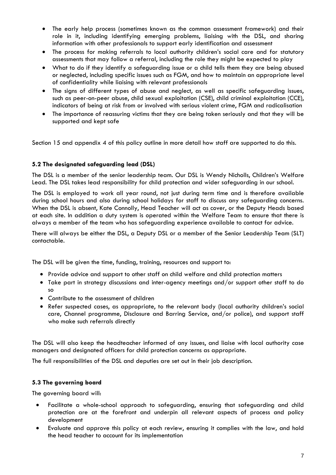- The early help process (sometimes known as the common assessment framework) and their role in it, including identifying emerging problems, liaising with the DSL, and sharing information with other professionals to support early identification and assessment
- The process for making referrals to local authority children's social care and for statutory assessments that may follow a referral, including the role they might be expected to play
- What to do if they identify a safeguarding issue or a child tells them they are being abused or neglected, including specific issues such as FGM, and how to maintain an appropriate level of confidentiality while liaising with relevant professionals
- The signs of different types of abuse and neglect, as well as specific safeguarding issues, such as peer-on-peer abuse, child sexual exploitation (CSE), child criminal exploitation (CCE), indicators of being at risk from or involved with serious violent crime, FGM and radicalisation
- The importance of reassuring victims that they are being taken seriously and that they will be supported and kept safe

Section 15 and appendix 4 of this policy outline in more detail how staff are supported to do this.

# **5.2 The designated safeguarding lead (DSL)**

The DSL is a member of the senior leadership team. Our DSL is Wendy Nicholls, Children's Welfare Lead. The DSL takes lead responsibility for child protection and wider safeguarding in our school.

The DSL is employed to work all year round, not just during term time and is therefore available during school hours and also during school holidays for staff to discuss any safeguarding concerns. When the DSL is absent, Kate Connolly, Head Teacher will act as cover, or the Deputy Heads based at each site. In addition a duty system is operated within the Welfare Team to ensure that there is always a member of the team who has safeguarding experience available to contact for advice.

There will always be either the DSL, a Deputy DSL or a member of the Senior Leadership Team (SLT) contactable.

The DSL will be given the time, funding, training, resources and support to:

- Provide advice and support to other staff on child welfare and child protection matters
- Take part in strategy discussions and inter-agency meetings and/or support other staff to do so
- Contribute to the assessment of children
- Refer suspected cases, as appropriate, to the relevant body (local authority children's social care, Channel programme, Disclosure and Barring Service, and/or police), and support staff who make such referrals directly

The DSL will also keep the headteacher informed of any issues, and liaise with local authority case managers and designated officers for child protection concerns as appropriate.

The full responsibilities of the DSL and deputies are set out in their job description.

# **5.3 The governing board**

The governing board will:

- Facilitate a whole-school approach to safeguarding, ensuring that safeguarding and child protection are at the forefront and underpin all relevant aspects of process and policy development
- Evaluate and approve this policy at each review, ensuring it complies with the law, and hold the head teacher to account for its implementation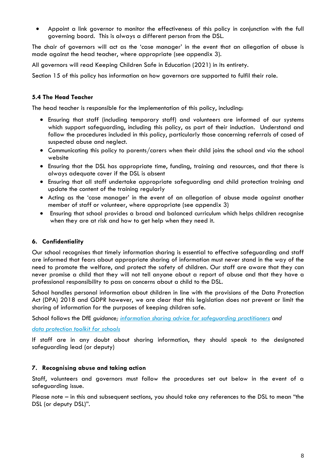Appoint a link governor to monitor the effectiveness of this policy in conjunction with the full governing board. This is always a different person from the DSL.

The chair of governors will act as the 'case manager' in the event that an allegation of abuse is made against the head teacher, where appropriate (see appendix 3).

All governors will read Keeping Children Safe in Education (2021) in its entirety.

Section 15 of this policy has information on how governors are supported to fulfil their role.

# **5.4 The Head Teacher**

The head teacher is responsible for the implementation of this policy, including:

- Ensuring that staff (including temporary staff) and volunteers are informed of our systems which support safeguarding, including this policy, as part of their induction. Understand and follow the procedures included in this policy, particularly those concerning referrals of cased of suspected abuse and neglect.
- Communicating this policy to parents/carers when their child joins the school and via the school website
- Ensuring that the DSL has appropriate time, funding, training and resources, and that there is always adequate cover if the DSL is absent
- Ensuring that all staff undertake appropriate safeguarding and child protection training and update the content of the training regularly
- Acting as the 'case manager' in the event of an allegation of abuse made against another member of staff or volunteer, where appropriate (see appendix 3)
- Ensuring that school provides a broad and balanced curriculum which helps children recognise when they are at risk and how to get help when they need it.

# **6. Confidentiality**

Our school recognises that timely information sharing is essential to effective safeguarding and staff are informed that fears about appropriate sharing of information must never stand in the way of the need to promote the welfare, and protect the safety of children. Our staff are aware that they can never promise a child that they will not tell anyone about a report of abuse and that they have a professional responsibility to pass on concerns about a child to the DSL.

School handles personal information about children in line with the provisions of the Data Protection Act (DPA) 2018 and GDPR however, we are clear that this legislation does not prevent or limit the sharing of information for the purposes of keeping children safe.

School follows the DfE *guidance; [information sharing advice for safeguarding practitioners](https://www.gov.uk/government/publications/safeguarding-practitioners-information-sharing-advice) and* 

*[data protection toolkit for schools](https://www.gov.uk/government/publications/data-protection-toolkit-for-schools)*

If staff are in any doubt about sharing information, they should speak to the designated safeguarding lead (or deputy)

# **7. Recognising abuse and taking action**

Staff, volunteers and governors must follow the procedures set out below in the event of a safeguarding issue.

Please note – in this and subsequent sections, you should take any references to the DSL to mean "the DSL (or deputy DSL)".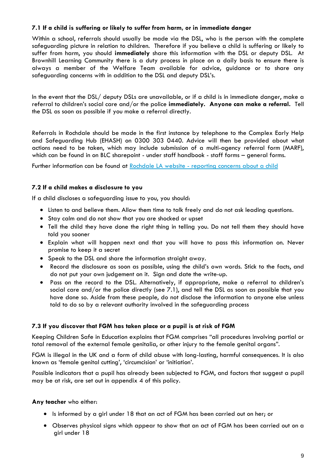# **7.1 If a child is suffering or likely to suffer from harm, or in immediate danger**

Within a school, referrals should usually be made via the DSL, who is the person with the complete safeguarding picture in relation to children. Therefore if you believe a child is suffering or likely to suffer from harm, you should **immediately** share this information with the DSL or deputy DSL. At Brownhill Learning Community there is a duty process in place on a daily basis to ensure there is always a member of the Welfare Team available for advice, guidance or to share any safeguarding concerns with in addition to the DSL and deputy DSL's.

In the event that the DSL/ deputy DSLs are unavailable, or if a child is in immediate danger, make a referral to children's social care and/or the police **immediately. Anyone can make a referral.** Tell the DSL as soon as possible if you make a referral directly.

Referrals in Rochdale should be made in the first instance by telephone to the Complex Early Help and Safeguarding Hub (EHASH) on 0300 303 0440. Advice will then be provided about what actions need to be taken, which may include submission of a multi-agency referral form (MARF), which can be found in on BLC sharepoint - under staff handbook - staff forms - general forms.

Further information can be found at Rochdale LA website - [reporting concerns about a child](http://www.rochdale.gov.uk/children-and-childcare/pages/child-protection.aspx)

# **7.2 If a child makes a disclosure to you**

If a child discloses a safeguarding issue to you, you should:

- Listen to and believe them. Allow them time to talk freely and do not ask leading questions.
- Stay calm and do not show that you are shocked or upset
- Tell the child they have done the right thing in telling you. Do not tell them they should have told you sooner
- Explain what will happen next and that you will have to pass this information on. Never promise to keep it a secret
- Speak to the DSL and share the information straight away.
- Record the disclosure as soon as possible, using the child's own words. Stick to the facts, and do not put your own judgement on it. Sign and date the write-up.
- Pass on the record to the DSL. Alternatively, if appropriate, make a referral to children's social care and/or the police directly (see 7.1), and tell the DSL as soon as possible that you have done so. Aside from these people, do not disclose the information to anyone else unless told to do so by a relevant authority involved in the safeguarding process

# **7.3 If you discover that FGM has taken place or a pupil is at risk of FGM**

Keeping Children Safe in Education explains that FGM comprises "all procedures involving partial or total removal of the external female genitalia, or other injury to the female genital organs".

FGM is illegal in the UK and a form of child abuse with long-lasting, harmful consequences. It is also known as 'female genital cutting', 'circumcision' or 'initiation'.

Possible indicators that a pupil has already been subjected to FGM, and factors that suggest a pupil may be at risk, are set out in appendix 4 of this policy.

#### **Any teacher** who either:

- Is informed by a girl under 18 that an act of FGM has been carried out on her; or
- Observes physical signs which appear to show that an act of FGM has been carried out on a girl under 18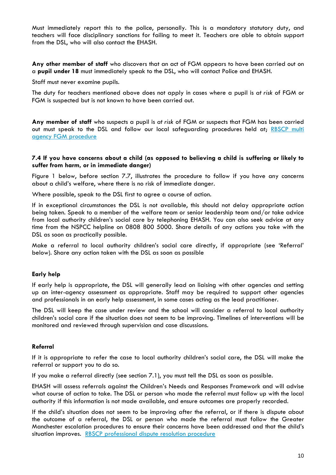Must immediately report this to the police, personally. This is a mandatory statutory duty, and teachers will face disciplinary sanctions for failing to meet it. Teachers are able to obtain support from the DSL, who will also contact the EHASH.

**Any other member of staff** who discovers that an act of FGM appears to have been carried out on a **pupil under 18** must immediately speak to the DSL, who will contact Police and EHASH.

Staff must never examine pupils.

The duty for teachers mentioned above does not apply in cases where a pupil is *at risk* of FGM or FGM is suspected but is not known to have been carried out.

**Any member of staff** who suspects a pupil is *at risk* of FGM or suspects that FGM has been carried out must speak to the DSL and follow our local safeguarding procedures held at; RBSCP multi [agency FGM procedure](https://greatermanchesterscb.proceduresonline.com/chapters/p_fgm.html?zoom_highlight=FGM#procedure_fgm)

#### **7.4 If you have concerns about a child (as opposed to believing a child is suffering or likely to suffer from harm, or in immediate danger)**

Figure 1 below, before section 7.7, illustrates the procedure to follow if you have any concerns about a child's welfare, where there is no risk of immediate danger.

Where possible, speak to the DSL first to agree a course of action.

If in exceptional circumstances the DSL is not available, this should not delay appropriate action being taken. Speak to a member of the welfare team or senior leadership team and/or take advice from local authority children's social care by telephoning EHASH. You can also seek advice at any time from the NSPCC helpline on 0808 800 5000. Share details of any actions you take with the DSL as soon as practically possible.

Make a referral to local authority children's social care directly, if appropriate (see 'Referral' below). Share any action taken with the DSL as soon as possible

# **Early help**

If early help is appropriate, the DSL will generally lead on liaising with other agencies and setting up an inter-agency assessment as appropriate. Staff may be required to support other agencies and professionals in an early help assessment, in some cases acting as the lead practitioner.

The DSL will keep the case under review and the school will consider a referral to local authority children's social care if the situation does not seem to be improving. Timelines of interventions will be monitored and reviewed through supervision and case discussions.

#### **Referral**

If it is appropriate to refer the case to local authority children's social care, the DSL will make the referral or support you to do so.

If you make a referral directly (see section 7.1), you must tell the DSL as soon as possible.

EHASH will assess referrals against the Children's Needs and Responses Framework and will advise what course of action to take. The DSL or person who made the referral must follow up with the local authority if this information is not made available, and ensure outcomes are properly recorded.

If the child's situation does not seem to be improving after the referral, or if there is dispute about the outcome of a referral, the DSL or person who made the referral must follow the Greater Manchester escalation procedures to ensure their concerns have been addressed and that the child's situation improves. [RBSCP professional dispute resolution procedure](https://greatermanchesterscb.proceduresonline.com/chapters/p_resolv_prof_dis.html?zoom_highlight=professional+disagreements)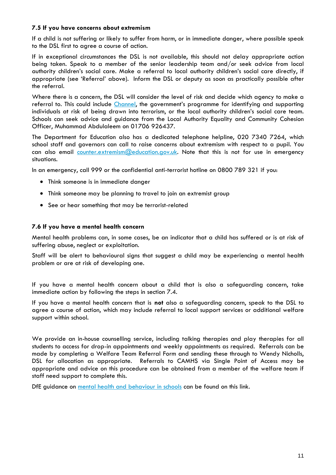#### **7.5 If you have concerns about extremism**

If a child is not suffering or likely to suffer from harm, or in immediate danger, where possible speak to the DSL first to agree a course of action.

If in exceptional circumstances the DSL is not available, this should not delay appropriate action being taken. Speak to a member of the senior leadership team and/or seek advice from local authority children's social care. Make a referral to local authority children's social care directly, if appropriate (see 'Referral' above). Inform the DSL or deputy as soon as practically possible after the referral.

Where there is a concern, the DSL will consider the level of risk and decide which agency to make a referral to. This could include [Channel](https://www.gov.uk/government/publications/channel-guidance), the government's programme for identifying and supporting individuals at risk of being drawn into terrorism, or the local authority children's social care team. Schools can seek advice and guidance from the Local Authority Equality and Community Cohesion Officer, Muhammad Abdulaleem on 01706 926437.

The Department for Education also has a dedicated telephone helpline, 020 7340 7264, which school staff and governors can call to raise concerns about extremism with respect to a pupil. You can also email [counter.extremism@education.gov.uk.](mailto:counter.extremism@education.gov.uk) Note that this is not for use in emergency situations.

In an emergency, call 999 or the confidential anti-terrorist hotline on 0800 789 321 if you:

- Think someone is in immediate danger
- Think someone may be planning to travel to join an extremist group
- See or hear something that may be terrorist-related

#### **7.6 If you have a mental health concern**

Mental health problems can, in some cases, be an indicator that a child has suffered or is at risk of suffering abuse, neglect or exploitation.

Staff will be alert to behavioural signs that suggest a child may be experiencing a mental health problem or are at risk of developing one.

If you have a mental health concern about a child that is also a safeguarding concern, take immediate action by following the steps in section 7.4.

If you have a mental health concern that is **not** also a safeguarding concern, speak to the DSL to agree a course of action, which may include referral to local support services or additional welfare support within school.

We provide an in-house counselling service, including talking therapies and play therapies for all students to access for drop-in appointments and weekly appointments as required. Referrals can be made by completing a Welfare Team Referral Form and sending these through to Wendy Nicholls, DSL for allocation as appropriate. Referrals to CAMHS via Single Point of Access may be appropriate and advice on this procedure can be obtained from a member of the welfare team if staff need support to complete this.

DfE guidance on [mental health and behaviour in schools](https://www.gov.uk/government/publications/mental-health-and-behaviour-in-schools--2) can be found on this link.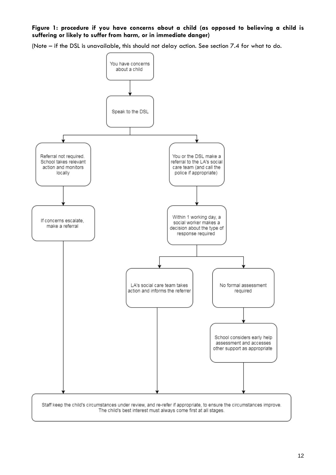#### **Figure 1: procedure if you have concerns about a child (as opposed to believing a child is suffering or likely to suffer from harm, or in immediate danger)**

(Note – if the DSL is unavailable, this should not delay action. See section 7.4 for what to do.



Staff keep the child's circumstances under review, and re-refer if appropriate, to ensure the circumstances improve. The child's best interest must always come first at all stages.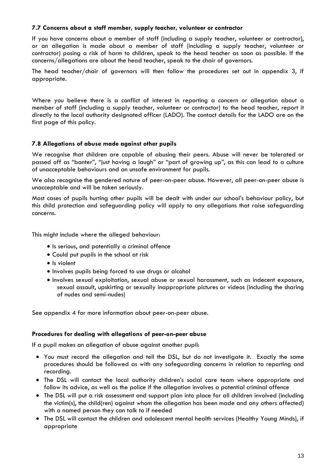#### **7.7 Concerns about a staff member, supply teacher, volunteer or contractor**

If you have concerns about a member of staff (including a supply teacher, volunteer or contractor), or an allegation is made about a member of staff (including a supply teacher, volunteer or contractor) posing a risk of harm to children, speak to the head teacher as soon as possible. If the concerns/allegations are about the head teacher, speak to the chair of governors.

The head teacher/chair of governors will then follow the procedures set out in appendix 3, if appropriate.

Where you believe there is a conflict of interest in reporting a concern or allegation about a member of staff (including a supply teacher, volunteer or contractor) to the head teacher, report it directly to the local authority designated officer (LADO). The contact details for the LADO are on the first page of this policy.

#### **7.8 Allegations of abuse made against other pupils**

We recognise that children are capable of abusing their peers. Abuse will never be tolerated or passed off as "banter", "just having a laugh" or "part of growing up", as this can lead to a culture of unacceptable behaviours and an unsafe environment for pupils.

We also recognise the gendered nature of peer-on-peer abuse. However, all peer-on-peer abuse is unacceptable and will be taken seriously.

Most cases of pupils hurting other pupils will be dealt with under our school's behaviour policy, but this child protection and safeguarding policy will apply to any allegations that raise safeguarding concerns.

This might include where the alleged behaviour:

- Is serious, and potentially a criminal offence
- Could put pupils in the school at risk
- Is violent
- Involves pupils being forced to use drugs or alcohol
- Involves sexual exploitation, sexual abuse or sexual harassment, such as indecent exposure, sexual assault, upskirting or sexually inappropriate pictures or videos (including the sharing of nudes and semi-nudes)

See appendix 4 for more information about peer-on-peer abuse.

#### **Procedures for dealing with allegations of peer-on-peer abuse**

If a pupil makes an allegation of abuse against another pupil:

- You must record the allegation and tell the DSL, but do not investigate it. Exactly the same procedures should be followed as with any safeguarding concerns in relation to reporting and recording.
- The DSL will contact the local authority children's social care team where appropriate and follow its advice, as well as the police if the allegation involves a potential criminal offence
- The DSL will put a risk assessment and support plan into place for all children involved (including the victim(s), the child(ren) against whom the allegation has been made and any others affected) with a named person they can talk to if needed
- The DSL will contact the children and adolescent mental health services (Healthy Young Minds), if appropriate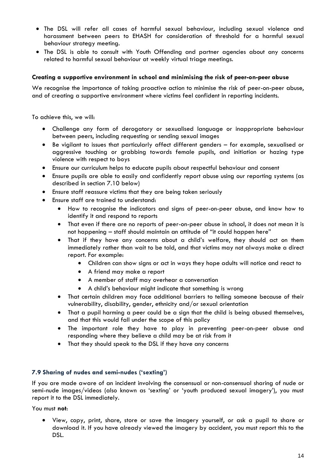- The DSL will refer all cases of harmful sexual behaviour, including sexual violence and harassment between peers to EHASH for consideration of threshold for a harmful sexual behaviour strategy meeting.
- The DSL is able to consult with Youth Offending and partner agencies about any concerns related to harmful sexual behaviour at weekly virtual triage meetings.

#### **Creating a supportive environment in school and minimising the risk of peer-on-peer abuse**

We recognise the importance of taking proactive action to minimise the risk of peer-on-peer abuse, and of creating a supportive environment where victims feel confident in reporting incidents.

To achieve this, we will:

- Challenge any form of derogatory or sexualised language or inappropriate behaviour between peers, including requesting or sending sexual images
- Be vigilant to issues that particularly affect different genders for example, sexualised or aggressive touching or grabbing towards female pupils, and initiation or hazing type violence with respect to boys
- Ensure our curriculum helps to educate pupils about respectful behaviour and consent
- Ensure pupils are able to easily and confidently report abuse using our reporting systems (as described in section 7.10 below)
- Ensure staff reassure victims that they are being taken seriously
- Ensure staff are trained to understand:
	- How to recognise the indicators and signs of peer-on-peer abuse, and know how to identify it and respond to reports
	- That even if there are no reports of peer-on-peer abuse in school, it does not mean it is not happening – staff should maintain an attitude of "it could happen here"
	- That if they have any concerns about a child's welfare, they should act on them immediately rather than wait to be told, and that victims may not always make a direct report. For example:
		- Children can show signs or act in ways they hope adults will notice and react to
		- A friend may make a report
		- A member of staff may overhear a conversation
		- A child's behaviour might indicate that something is wrong
	- That certain children may face additional barriers to telling someone because of their vulnerability, disability, gender, ethnicity and/or sexual orientation
	- That a pupil harming a peer could be a sign that the child is being abused themselves, and that this would fall under the scope of this policy
	- The important role they have to play in preventing peer-on-peer abuse and responding where they believe a child may be at risk from it
	- That they should speak to the DSL if they have any concerns

#### **7.9 Sharing of nudes and semi-nudes ('sexting')**

If you are made aware of an incident involving the consensual or non-consensual sharing of nude or semi-nude images/videos (also known as 'sexting' or 'youth produced sexual imagery'), you must report it to the DSL immediately.

You must **not**:

 View, copy, print, share, store or save the imagery yourself, or ask a pupil to share or download it. If you have already viewed the imagery by accident, you must report this to the DSL.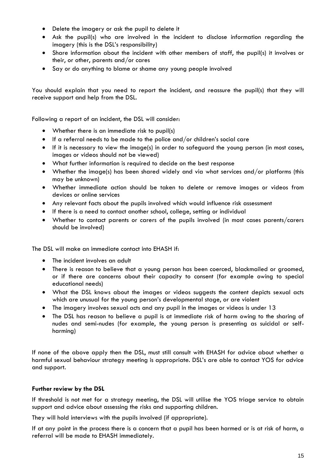- Delete the imagery or ask the pupil to delete it
- Ask the pupil(s) who are involved in the incident to disclose information regarding the imagery (this is the DSL's responsibility)
- Share information about the incident with other members of staff, the pupil(s) it involves or their, or other, parents and/or cares
- Say or do anything to blame or shame any young people involved

You should explain that you need to report the incident, and reassure the pupil(s) that they will receive support and help from the DSL.

Following a report of an incident, the DSL will consider:

- Whether there is an immediate risk to pupil(s)
- If a referral needs to be made to the police and/or children's social care
- If it is necessary to view the image(s) in order to safeguard the young person (in most cases, images or videos should not be viewed)
- What further information is required to decide on the best response
- Whether the image(s) has been shared widely and via what services and/or platforms (this may be unknown)
- Whether immediate action should be taken to delete or remove images or videos from devices or online services
- Any relevant facts about the pupils involved which would influence risk assessment
- If there is a need to contact another school, college, setting or individual
- Whether to contact parents or carers of the pupils involved (in most cases parents/carers should be involved)

The DSL will make an immediate contact into EHASH if:

- The incident involves an adult
- There is reason to believe that a young person has been coerced, blackmailed or groomed, or if there are concerns about their capacity to consent (for example owing to special educational needs)
- What the DSL knows about the images or videos suggests the content depicts sexual acts which are unusual for the young person's developmental stage, or are violent
- The imagery involves sexual acts and any pupil in the images or videos is under 13
- The DSL has reason to believe a pupil is at immediate risk of harm owing to the sharing of nudes and semi-nudes (for example, the young person is presenting as suicidal or selfharming)

If none of the above apply then the DSL, must still consult with EHASH for advice about whether a harmful sexual behaviour strategy meeting is appropriate. DSL's are able to contact YOS for advice and support.

#### **Further review by the DSL**

If threshold is not met for a strategy meeting, the DSL will utilise the YOS triage service to obtain support and advice about assessing the risks and supporting children.

They will hold interviews with the pupils involved (if appropriate).

If at any point in the process there is a concern that a pupil has been harmed or is at risk of harm, a referral will be made to EHASH immediately.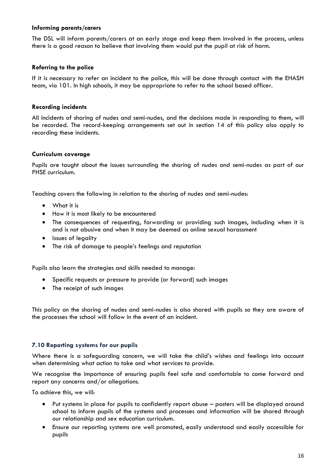## **Informing parents/carers**

The DSL will inform parents/carers at an early stage and keep them involved in the process, unless there is a good reason to believe that involving them would put the pupil at risk of harm.

#### **Referring to the police**

If it is necessary to refer an incident to the police, this will be done through contact with the EHASH team, via 101. In high schools, it may be appropriate to refer to the school based officer.

#### **Recording incidents**

All incidents of sharing of nudes and semi-nudes, and the decisions made in responding to them, will be recorded. The record-keeping arrangements set out in section 14 of this policy also apply to recording these incidents.

#### **Curriculum coverage**

Pupils are taught about the issues surrounding the sharing of nudes and semi-nudes as part of our PHSE curriculum.

Teaching covers the following in relation to the sharing of nudes and semi-nudes:

- What it is
- How it is most likely to be encountered
- The consequences of requesting, forwarding or providing such images, including when it is and is not abusive and when it may be deemed as online sexual harassment
- Issues of legality
- The risk of damage to people's feelings and reputation

Pupils also learn the strategies and skills needed to manage:

- Specific requests or pressure to provide (or forward) such images
- The receipt of such images

This policy on the sharing of nudes and semi-nudes is also shared with pupils so they are aware of the processes the school will follow in the event of an incident.

#### **7.10 Reporting systems for our pupils**

Where there is a safeguarding concern, we will take the child's wishes and feelings into account when determining what action to take and what services to provide.

We recognise the importance of ensuring pupils feel safe and comfortable to come forward and report any concerns and/or allegations.

To achieve this, we will:

- Put systems in place for pupils to confidently report abuse posters will be displayed around school to inform pupils of the systems and processes and information will be shared through our relationship and sex education curriculum.
- Ensure our reporting systems are well promoted, easily understood and easily accessible for pupils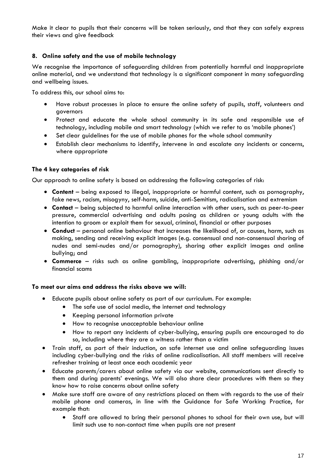Make it clear to pupils that their concerns will be taken seriously, and that they can safely express their views and give feedback

# **8. Online safety and the use of mobile technology**

We recognise the importance of safeguarding children from potentially harmful and inappropriate online material, and we understand that technology is a significant component in many safeguarding and wellbeing issues.

To address this, our school aims to:

- Have robust processes in place to ensure the online safety of pupils, staff, volunteers and governors
- Protect and educate the whole school community in its safe and responsible use of technology, including mobile and smart technology (which we refer to as 'mobile phones')
- Set clear guidelines for the use of mobile phones for the whole school community
- Establish clear mechanisms to identify, intervene in and escalate any incidents or concerns, where appropriate

#### **The 4 key categories of risk**

Our approach to online safety is based on addressing the following categories of risk:

- **Content** being exposed to illegal, inappropriate or harmful content, such as pornography, fake news, racism, misogyny, self-harm, suicide, anti-Semitism, radicalisation and extremism
- **Contact** being subjected to harmful online interaction with other users, such as peer-to-peer pressure, commercial advertising and adults posing as children or young adults with the intention to groom or exploit them for sexual, criminal, financial or other purposes
- **Conduct** personal online behaviour that increases the likelihood of, or causes, harm, such as making, sending and receiving explicit images (e.g. consensual and non-consensual sharing of nudes and semi-nudes and/or pornography), sharing other explicit images and online bullying; and
- **Commerce** risks such as online gambling, inappropriate advertising, phishing and/or financial scams

#### **To meet our aims and address the risks above we will:**

- Educate pupils about online safety as part of our curriculum. For example:
	- The safe use of social media, the internet and technology
	- Keeping personal information private
	- How to recognise unacceptable behaviour online
	- How to report any incidents of cyber-bullying, ensuring pupils are encouraged to do so, including where they are a witness rather than a victim
- Train staff, as part of their induction, on safe internet use and online safeguarding issues including cyber-bullying and the risks of online radicalisation. All staff members will receive refresher training at least once each academic year
- Educate parents/carers about online safety via our website, communications sent directly to them and during parents' evenings. We will also share clear procedures with them so they know how to raise concerns about online safety
- Make sure staff are aware of any restrictions placed on them with regards to the use of their mobile phone and cameras, in line with the Guidance for Safe Working Practice, for example that:
	- Staff are allowed to bring their personal phones to school for their own use, but will limit such use to non-contact time when pupils are not present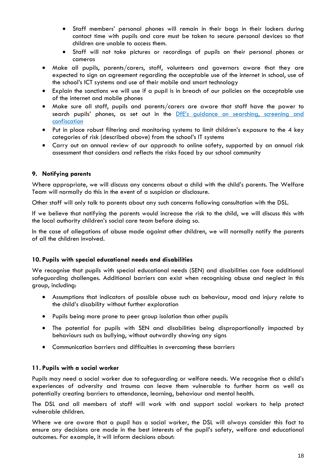- Staff members' personal phones will remain in their bags in their lockers during contact time with pupils and care must be taken to secure personal devices so that children are unable to access them.
- Staff will not take pictures or recordings of pupils on their personal phones or cameras
- Make all pupils, parents/carers, staff, volunteers and governors aware that they are expected to sign an agreement regarding the acceptable use of the internet in school, use of the school's ICT systems and use of their mobile and smart technology
- Explain the sanctions we will use if a pupil is in breach of our policies on the acceptable use of the internet and mobile phones
- Make sure all staff, pupils and parents/carers are aware that staff have the power to search pupils' phones, as set out in the DfE's guidance on searching, screening and [confiscation](https://www.gov.uk/government/publications/searching-screening-and-confiscation)
- Put in place robust filtering and monitoring systems to limit children's exposure to the 4 key categories of risk (described above) from the school's IT systems
- Carry out an annual review of our approach to online safety, supported by an annual risk assessment that considers and reflects the risks faced by our school community

# **9. Notifying parents**

Where appropriate, we will discuss any concerns about a child with the child's parents. The Welfare Team will normally do this in the event of a suspicion or disclosure.

Other staff will only talk to parents about any such concerns following consultation with the DSL.

If we believe that notifying the parents would increase the risk to the child, we will discuss this with the local authority children's social care team before doing so.

In the case of allegations of abuse made against other children, we will normally notify the parents of all the children involved.

# **10. Pupils with special educational needs and disabilities**

We recognise that pupils with special educational needs (SEN) and disabilities can face additional safeguarding challenges. Additional barriers can exist when recognising abuse and neglect in this group, including:

- Assumptions that indicators of possible abuse such as behaviour, mood and injury relate to the child's disability without further exploration
- Pupils being more prone to peer group isolation than other pupils
- The potential for pupils with SEN and disabilities being disproportionally impacted by behaviours such as bullying, without outwardly showing any signs
- Communication barriers and difficulties in overcoming these barriers

# **11. Pupils with a social worker**

Pupils may need a social worker due to safeguarding or welfare needs. We recognise that a child's experiences of adversity and trauma can leave them vulnerable to further harm as well as potentially creating barriers to attendance, learning, behaviour and mental health.

The DSL and all members of staff will work with and support social workers to help protect vulnerable children.

Where we are aware that a pupil has a social worker, the DSL will always consider this fact to ensure any decisions are made in the best interests of the pupil's safety, welfare and educational outcomes. For example, it will inform decisions about: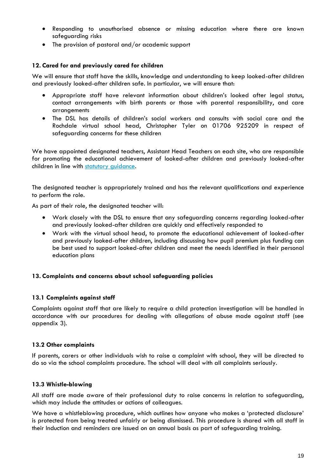- Responding to unauthorised absence or missing education where there are known safeguarding risks
- The provision of pastoral and/or academic support

# **12. Cared for and previously cared for children**

We will ensure that staff have the skills, knowledge and understanding to keep looked-after children and previously looked-after children safe. In particular, we will ensure that:

- Appropriate staff have relevant information about children's looked after legal status, contact arrangements with birth parents or those with parental responsibility, and care arrangements
- The DSL has details of children's social workers and consults with social care and the Rochdale virtual school head, Christopher Tyler on 01706 925209 in respect of safeguarding concerns for these children

We have appointed designated teachers, Assistant Head Teachers on each site, who are responsible for promoting the educational achievement of looked-after children and previously looked-after children in line with [statutory guidance.](https://www.gov.uk/government/publications/designated-teacher-for-looked-after-children)

The designated teacher is appropriately trained and has the relevant qualifications and experience to perform the role.

As part of their role, the designated teacher will:

- Work closely with the DSL to ensure that any safeguarding concerns regarding looked-after and previously looked-after children are quickly and effectively responded to
- Work with the virtual school head, to promote the educational achievement of looked-after and previously looked-after children, including discussing how pupil premium plus funding can be best used to support looked-after children and meet the needs identified in their personal education plans

# **13. Complaints and concerns about school safeguarding policies**

# **13.1 Complaints against staff**

Complaints against staff that are likely to require a child protection investigation will be handled in accordance with our procedures for dealing with allegations of abuse made against staff (see appendix 3).

# **13.2 Other complaints**

If parents, carers or other individuals wish to raise a complaint with school, they will be directed to do so via the school complaints procedure. The school will deal with all complaints seriously.

#### **13.3 Whistle-blowing**

All staff are made aware of their professional duty to raise concerns in relation to safeguarding, which may include the attitudes or actions of colleagues.

We have a whistleblowing procedure, which outlines how anyone who makes a 'protected disclosure' is protected from being treated unfairly or being dismissed. This procedure is shared with all staff in their Induction and reminders are issued on an annual basis as part of safeguarding training.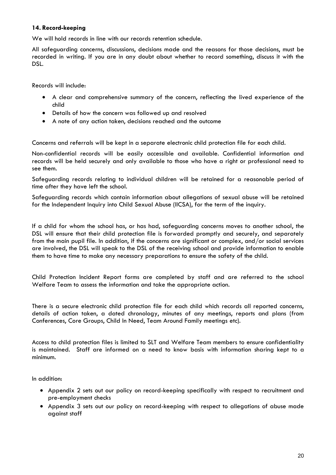# **14. Record-keeping**

We will hold records in line with our records retention schedule.

All safeguarding concerns, discussions, decisions made and the reasons for those decisions, must be recorded in writing. If you are in any doubt about whether to record something, discuss it with the DSL.

Records will include:

- A clear and comprehensive summary of the concern, reflecting the lived experience of the child
- Details of how the concern was followed up and resolved
- A note of any action taken, decisions reached and the outcome

Concerns and referrals will be kept in a separate electronic child protection file for each child.

Non-confidential records will be easily accessible and available. Confidential information and records will be held securely and only available to those who have a right or professional need to see them.

Safeguarding records relating to individual children will be retained for a reasonable period of time after they have left the school.

Safeguarding records which contain information about allegations of sexual abuse will be retained for the Independent Inquiry into Child Sexual Abuse (IICSA), for the term of the inquiry.

If a child for whom the school has, or has had, safeguarding concerns moves to another school, the DSL will ensure that their child protection file is forwarded promptly and securely, and separately from the main pupil file. In addition, if the concerns are significant or complex, and/or social services are involved, the DSL will speak to the DSL of the receiving school and provide information to enable them to have time to make any necessary preparations to ensure the safety of the child.

Child Protection Incident Report forms are completed by staff and are referred to the school Welfare Team to assess the information and take the appropriate action.

There is a secure electronic child protection file for each child which records all reported concerns, details of action taken, a dated chronology, minutes of any meetings, reports and plans (from Conferences, Core Groups, Child In Need, Team Around Family meetings etc).

Access to child protection files is limited to SLT and Welfare Team members to ensure confidentiality is maintained. Staff are informed on a need to know basis with information sharing kept to a minimum.

In addition:

- Appendix 2 sets out our policy on record-keeping specifically with respect to recruitment and pre-employment checks
- Appendix 3 sets out our policy on record-keeping with respect to allegations of abuse made against staff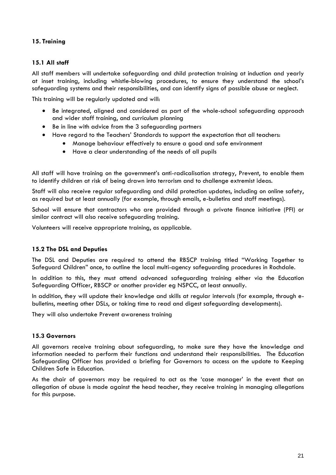# **15. Training**

# **15.1 All staff**

All staff members will undertake safeguarding and child protection training at induction and yearly at inset training, including whistle-blowing procedures, to ensure they understand the school's safeguarding systems and their responsibilities, and can identify signs of possible abuse or neglect.

This training will be regularly updated and will:

- Be integrated, aligned and considered as part of the whole-school safeguarding approach and wider staff training, and curriculum planning
- Be in line with advice from the 3 safeguarding partners
- Have regard to the Teachers' Standards to support the expectation that all teachers:
	- Manage behaviour effectively to ensure a good and safe environment
	- Have a clear understanding of the needs of all pupils

All staff will have training on the government's anti-radicalisation strategy, Prevent, to enable them to identify children at risk of being drawn into terrorism and to challenge extremist ideas.

Staff will also receive regular safeguarding and child protection updates, including on online safety, as required but at least annually (for example, through emails, e-bulletins and staff meetings).

School will ensure that contractors who are provided through a private finance initiative (PFI) or similar contract will also receive safeguarding training.

Volunteers will receive appropriate training, as applicable.

#### **15.2 The DSL and Deputies**

The DSL and Deputies are required to attend the RBSCP training titled "Working Together to Safeguard Children" once, to outline the local multi-agency safeguarding procedures in Rochdale.

In addition to this, they must attend advanced safeguarding training either via the Education Safeguarding Officer, RBSCP or another provider eg NSPCC, at least annually.

In addition, they will update their knowledge and skills at regular intervals (for example, through ebulletins, meeting other DSLs, or taking time to read and digest safeguarding developments).

They will also undertake Prevent awareness training

#### **15.3 Governors**

All governors receive training about safeguarding, to make sure they have the knowledge and information needed to perform their functions and understand their responsibilities. The Education Safeguarding Officer has provided a briefing for Governors to access on the update to Keeping Children Safe in Education.

As the chair of governors may be required to act as the 'case manager' in the event that an allegation of abuse is made against the head teacher, they receive training in managing allegations for this purpose.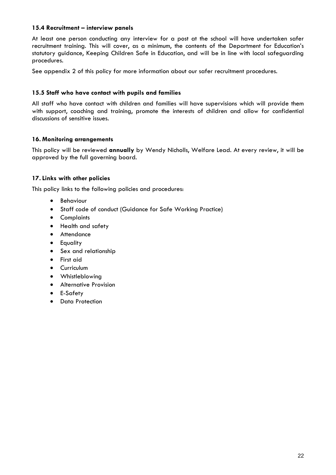# **15.4 Recruitment – interview panels**

At least one person conducting any interview for a post at the school will have undertaken safer recruitment training. This will cover, as a minimum, the contents of the Department for Education's statutory guidance, Keeping Children Safe in Education, and will be in line with local safeguarding procedures.

See appendix 2 of this policy for more information about our safer recruitment procedures.

# **15.5 Staff who have contact with pupils and families**

All staff who have contact with children and families will have supervisions which will provide them with support, coaching and training, promote the interests of children and allow for confidential discussions of sensitive issues.

# **16. Monitoring arrangements**

This policy will be reviewed **annually** by Wendy Nicholls, Welfare Lead. At every review, it will be approved by the full governing board.

# **17. Links with other policies**

This policy links to the following policies and procedures:

- **•** Behaviour
- Staff code of conduct (Guidance for Safe Working Practice)
- Complaints
- Health and safety
- **•** Attendance
- Equality
- Sex and relationship
- First aid
- **•** Curriculum
- Whistleblowing
- Alternative Provision
- E-Safety
- Data Protection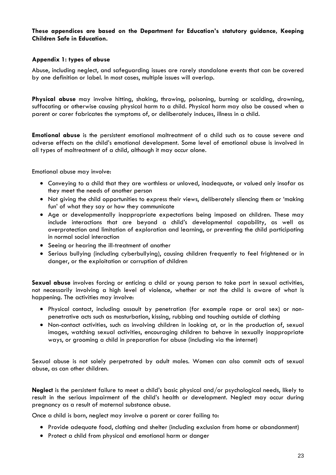## **These appendices are based on the Department for Education's statutory guidance, Keeping Children Safe in Education.**

## **Appendix 1: types of abuse**

Abuse, including neglect, and safeguarding issues are rarely standalone events that can be covered by one definition or label. In most cases, multiple issues will overlap.

**Physical abuse** may involve hitting, shaking, throwing, poisoning, burning or scalding, drowning, suffocating or otherwise causing physical harm to a child. Physical harm may also be caused when a parent or carer fabricates the symptoms of, or deliberately induces, illness in a child.

**Emotional abuse** is the persistent emotional maltreatment of a child such as to cause severe and adverse effects on the child's emotional development. Some level of emotional abuse is involved in all types of maltreatment of a child, although it may occur alone.

Emotional abuse may involve:

- Conveying to a child that they are worthless or unloved, inadequate, or valued only insofar as they meet the needs of another person
- Not giving the child opportunities to express their views, deliberately silencing them or 'making fun' of what they say or how they communicate
- Age or developmentally inappropriate expectations being imposed on children. These may include interactions that are beyond a child's developmental capability, as well as overprotection and limitation of exploration and learning, or preventing the child participating in normal social interaction
- Seeing or hearing the ill-treatment of another
- Serious bullying (including cyberbullying), causing children frequently to feel frightened or in danger, or the exploitation or corruption of children

**Sexual abuse** involves forcing or enticing a child or young person to take part in sexual activities, not necessarily involving a high level of violence, whether or not the child is aware of what is happening. The activities may involve:

- Physical contact, including assault by penetration (for example rape or oral sex) or nonpenetrative acts such as masturbation, kissing, rubbing and touching outside of clothing
- Non-contact activities, such as involving children in looking at, or in the production of, sexual images, watching sexual activities, encouraging children to behave in sexually inappropriate ways, or grooming a child in preparation for abuse (including via the internet)

Sexual abuse is not solely perpetrated by adult males. Women can also commit acts of sexual abuse, as can other children.

**Neglect** is the persistent failure to meet a child's basic physical and/or psychological needs, likely to result in the serious impairment of the child's health or development. Neglect may occur during pregnancy as a result of maternal substance abuse.

Once a child is born, neglect may involve a parent or carer failing to:

- Provide adequate food, clothing and shelter (including exclusion from home or abandonment)
- Protect a child from physical and emotional harm or danger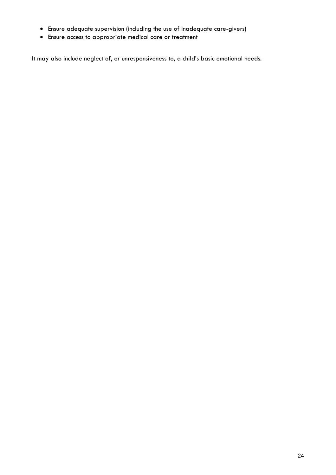- Ensure adequate supervision (including the use of inadequate care-givers)
- Ensure access to appropriate medical care or treatment

It may also include neglect of, or unresponsiveness to, a child's basic emotional needs.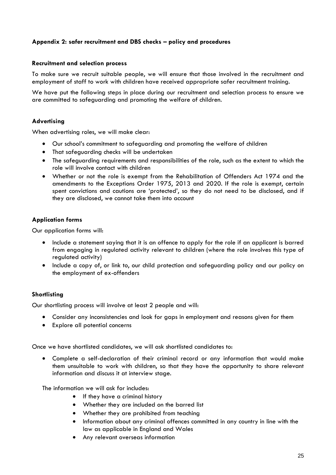# **Appendix 2: safer recruitment and DBS checks – policy and procedures**

#### **Recruitment and selection process**

To make sure we recruit suitable people, we will ensure that those involved in the recruitment and employment of staff to work with children have received appropriate safer recruitment training.

We have put the following steps in place during our recruitment and selection process to ensure we are committed to safeguarding and promoting the welfare of children.

# **Advertising**

When advertising roles, we will make clear:

- Our school's commitment to safeguarding and promoting the welfare of children
- That safeguarding checks will be undertaken
- The safeguarding requirements and responsibilities of the role, such as the extent to which the role will involve contact with children
- Whether or not the role is exempt from the Rehabilitation of Offenders Act 1974 and the amendments to the Exceptions Order 1975, 2013 and 2020. If the role is exempt, certain spent convictions and cautions are 'protected', so they do not need to be disclosed, and if they are disclosed, we cannot take them into account

#### **Application forms**

Our application forms will:

- Include a statement saying that it is an offence to apply for the role if an applicant is barred from engaging in regulated activity relevant to children (where the role involves this type of regulated activity)
- Include a copy of, or link to, our child protection and safeguarding policy and our policy on the employment of ex-offenders

# **Shortlisting**

Our shortlisting process will involve at least 2 people and will:

- Consider any inconsistencies and look for gaps in employment and reasons given for them
- Explore all potential concerns

Once we have shortlisted candidates, we will ask shortlisted candidates to:

 Complete a self-declaration of their criminal record or any information that would make them unsuitable to work with children, so that they have the opportunity to share relevant information and discuss it at interview stage.

The information we will ask for includes:

- If they have a criminal history
- Whether they are included on the barred list
- Whether they are prohibited from teaching
- Information about any criminal offences committed in any country in line with the law as applicable in England and Wales
- Any relevant overseas information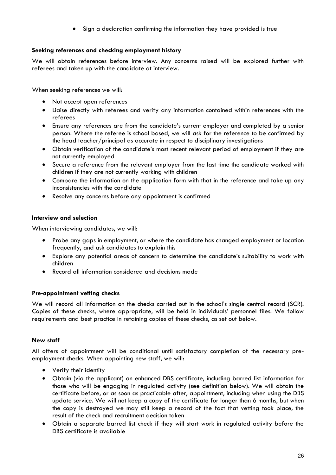Sign a declaration confirming the information they have provided is true

# **Seeking references and checking employment history**

We will obtain references before interview. Any concerns raised will be explored further with referees and taken up with the candidate at interview.

When seeking references we will:

- Not accept open references
- Liaise directly with referees and verify any information contained within references with the referees
- Ensure any references are from the candidate's current employer and completed by a senior person. Where the referee is school based, we will ask for the reference to be confirmed by the head teacher/principal as accurate in respect to disciplinary investigations
- Obtain verification of the candidate's most recent relevant period of employment if they are not currently employed
- Secure a reference from the relevant employer from the last time the candidate worked with children if they are not currently working with children
- Compare the information on the application form with that in the reference and take up any inconsistencies with the candidate
- Resolve any concerns before any appointment is confirmed

# **Interview and selection**

When interviewing candidates, we will:

- Probe any gaps in employment, or where the candidate has changed employment or location frequently, and ask candidates to explain this
- Explore any potential areas of concern to determine the candidate's suitability to work with children
- Record all information considered and decisions made

# **Pre-appointment vetting checks**

We will record all information on the checks carried out in the school's single central record (SCR). Copies of these checks, where appropriate, will be held in individuals' personnel files. We follow requirements and best practice in retaining copies of these checks, as set out below.

# **New staff**

All offers of appointment will be conditional until satisfactory completion of the necessary preemployment checks. When appointing new staff, we will:

- Verify their identity
- Obtain (via the applicant) an enhanced DBS certificate, including barred list information for those who will be engaging in regulated activity (see definition below). We will obtain the certificate before, or as soon as practicable after, appointment, including when using the DBS update service. We will not keep a copy of the certificate for longer than 6 months, but when the copy is destroyed we may still keep a record of the fact that vetting took place, the result of the check and recruitment decision taken
- Obtain a separate barred list check if they will start work in regulated activity before the DBS certificate is available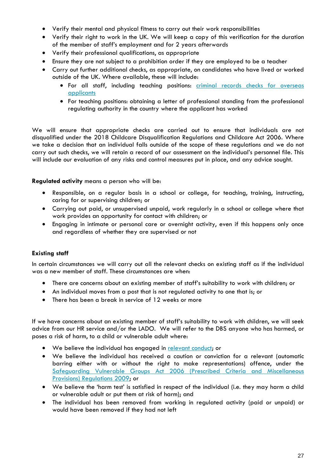- Verify their mental and physical fitness to carry out their work responsibilities
- Verify their right to work in the UK. We will keep a copy of this verification for the duration of the member of staff's employment and for 2 years afterwards
- Verify their professional qualifications, as appropriate
- Ensure they are not subject to a prohibition order if they are employed to be a teacher
- Carry out further additional checks, as appropriate, on candidates who have lived or worked outside of the UK. Where available, these will include:
	- **•** For all staff, including teaching positions: **criminal records checks for overseas [applicants](https://www.gov.uk/government/publications/criminal-records-checks-for-overseas-applicants)**
	- For teaching positions: obtaining a letter of professional standing from the professional regulating authority in the country where the applicant has worked

We will ensure that appropriate checks are carried out to ensure that individuals are not disqualified under the 2018 Childcare Disqualification Regulations and Childcare Act 2006. Where we take a decision that an individual falls outside of the scope of these regulations and we do not carry out such checks, we will retain a record of our assessment on the individual's personnel file. This will include our evaluation of any risks and control measures put in place, and any advice sought.

# **Regulated activity** means a person who will be:

- Responsible, on a regular basis in a school or college, for teaching, training, instructing, caring for or supervising children; or
- Carrying out paid, or unsupervised unpaid, work regularly in a school or college where that work provides an opportunity for contact with children; or
- Engaging in intimate or personal care or overnight activity, even if this happens only once and regardless of whether they are supervised or not

# **Existing staff**

In certain circumstances we will carry out all the relevant checks on existing staff as if the individual was a new member of staff. These circumstances are when:

- There are concerns about an existing member of staff's suitability to work with children; or
- An individual moves from a post that is not regulated activity to one that is; or
- There has been a break in service of 12 weeks or more

If we have concerns about an existing member of staff's suitability to work with children, we will seek advice from our HR service and/or the LADO. We will refer to the DBS anyone who has harmed, or poses a risk of harm, to a child or vulnerable adult where:

- We believe the individual has engaged in [relevant conduct;](https://www.gov.uk/guidance/making-barring-referrals-to-the-dbs#relevant-conduct-in-relation-to-children) or
- We believe the individual has received a caution or conviction for a relevant (automatic barring either with or without the right to make representations) offence, under the [Safeguarding Vulnerable Groups Act 2006 \(Prescribed Criteria and Miscellaneous](http://www.legislation.gov.uk/uksi/2009/37/contents/made)  [Provisions\) Regulations 2009;](http://www.legislation.gov.uk/uksi/2009/37/contents/made) or
- We believe the 'harm test' is satisfied in respect of the individual (i.e. they may harm a child or vulnerable adult or put them at risk of harm); and
- The individual has been removed from working in regulated activity (paid or unpaid) or would have been removed if they had not left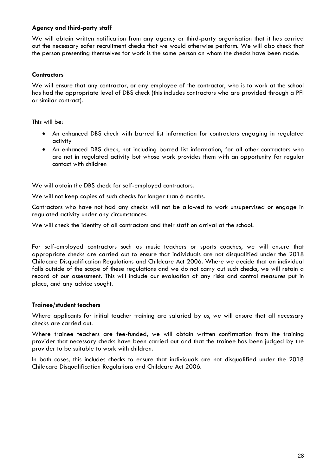# **Agency and third-party staff**

We will obtain written notification from any agency or third-party organisation that it has carried out the necessary safer recruitment checks that we would otherwise perform. We will also check that the person presenting themselves for work is the same person on whom the checks have been made.

# **Contractors**

We will ensure that any contractor, or any employee of the contractor, who is to work at the school has had the appropriate level of DBS check (this includes contractors who are provided through a PFI or similar contract).

This will be:

- An enhanced DBS check with barred list information for contractors engaging in regulated activity
- An enhanced DBS check, not including barred list information, for all other contractors who are not in regulated activity but whose work provides them with an opportunity for regular contact with children

We will obtain the DBS check for self-employed contractors.

We will not keep copies of such checks for longer than 6 months.

Contractors who have not had any checks will not be allowed to work unsupervised or engage in regulated activity under any circumstances.

We will check the identity of all contractors and their staff on arrival at the school.

For self-employed contractors such as music teachers or sports coaches, we will ensure that appropriate checks are carried out to ensure that individuals are not disqualified under the 2018 Childcare Disqualification Regulations and Childcare Act 2006. Where we decide that an individual falls outside of the scope of these regulations and we do not carry out such checks, we will retain a record of our assessment. This will include our evaluation of any risks and control measures put in place, and any advice sought.

# **Trainee/student teachers**

Where applicants for initial teacher training are salaried by us, we will ensure that all necessary checks are carried out.

Where trainee teachers are fee-funded, we will obtain written confirmation from the training provider that necessary checks have been carried out and that the trainee has been judged by the provider to be suitable to work with children.

In both cases, this includes checks to ensure that individuals are not disqualified under the 2018 Childcare Disqualification Regulations and Childcare Act 2006.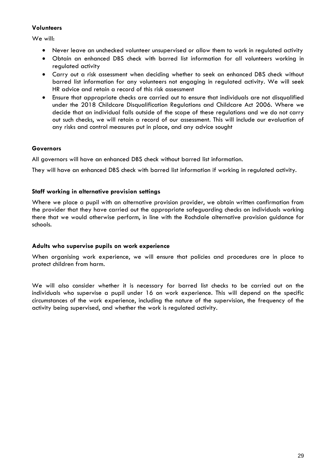# **Volunteers**

We will:

- Never leave an unchecked volunteer unsupervised or allow them to work in regulated activity
- Obtain an enhanced DBS check with barred list information for all volunteers working in regulated activity
- Carry out a risk assessment when deciding whether to seek an enhanced DBS check without barred list information for any volunteers not engaging in regulated activity. We will seek HR advice and retain a record of this risk assessment
- Ensure that appropriate checks are carried out to ensure that individuals are not disqualified under the 2018 Childcare Disqualification Regulations and Childcare Act 2006. Where we decide that an individual falls outside of the scope of these regulations and we do not carry out such checks, we will retain a record of our assessment. This will include our evaluation of any risks and control measures put in place, and any advice sought

# **Governors**

All governors will have an enhanced DBS check without barred list information.

They will have an enhanced DBS check with barred list information if working in regulated activity.

# **Staff working in alternative provision settings**

Where we place a pupil with an alternative provision provider, we obtain written confirmation from the provider that they have carried out the appropriate safeguarding checks on individuals working there that we would otherwise perform, in line with the Rochdale alternative provision guidance for schools.

# **Adults who supervise pupils on work experience**

When organising work experience, we will ensure that policies and procedures are in place to protect children from harm.

We will also consider whether it is necessary for barred list checks to be carried out on the individuals who supervise a pupil under 16 on work experience. This will depend on the specific circumstances of the work experience, including the nature of the supervision, the frequency of the activity being supervised, and whether the work is regulated activity.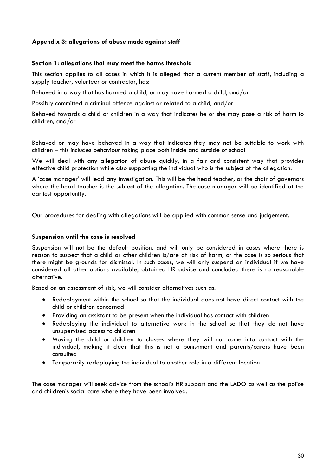## **Appendix 3: allegations of abuse made against staff**

#### **Section 1: allegations that may meet the harms threshold**

This section applies to all cases in which it is alleged that a current member of staff, including a supply teacher, volunteer or contractor, has:

Behaved in a way that has harmed a child, or may have harmed a child, and/or

Possibly committed a criminal offence against or related to a child, and/or

Behaved towards a child or children in a way that indicates he or she may pose a risk of harm to children, and/or

Behaved or may have behaved in a way that indicates they may not be suitable to work with children – this includes behaviour taking place both inside and outside of school

We will deal with any allegation of abuse quickly, in a fair and consistent way that provides effective child protection while also supporting the individual who is the subject of the allegation.

A 'case manager' will lead any investigation. This will be the head teacher, or the chair of governors where the head teacher is the subject of the allegation. The case manager will be identified at the earliest opportunity.

Our procedures for dealing with allegations will be applied with common sense and judgement.

#### **Suspension until the case is resolved**

Suspension will not be the default position, and will only be considered in cases where there is reason to suspect that a child or other children is/are at risk of harm, or the case is so serious that there might be grounds for dismissal. In such cases, we will only suspend an individual if we have considered all other options available, obtained HR advice and concluded there is no reasonable alternative.

Based on an assessment of risk, we will consider alternatives such as:

- Redeployment within the school so that the individual does not have direct contact with the child or children concerned
- Providing an assistant to be present when the individual has contact with children
- Redeploying the individual to alternative work in the school so that they do not have unsupervised access to children
- Moving the child or children to classes where they will not come into contact with the individual, making it clear that this is not a punishment and parents/carers have been consulted
- Temporarily redeploying the individual to another role in a different location

The case manager will seek advice from the school's HR support and the LADO as well as the police and children's social care where they have been involved.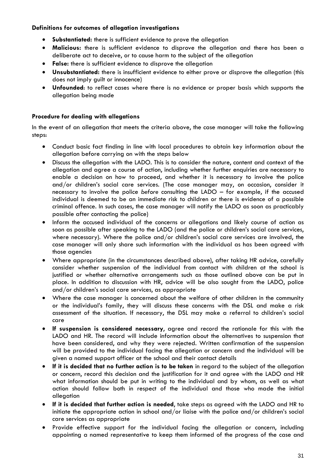# **Definitions for outcomes of allegation investigations**

- **Substantiated:** there is sufficient evidence to prove the allegation
- **Malicious:** there is sufficient evidence to disprove the allegation and there has been a deliberate act to deceive, or to cause harm to the subject of the allegation
- **False:** there is sufficient evidence to disprove the allegation
- **Unsubstantiated:** there is insufficient evidence to either prove or disprove the allegation (this does not imply guilt or innocence)
- **Unfounded**: to reflect cases where there is no evidence or proper basis which supports the allegation being made

# **Procedure for dealing with allegations**

In the event of an allegation that meets the criteria above, the case manager will take the following steps:

- Conduct basic fact finding in line with local procedures to obtain key information about the allegation before carrying on with the steps below
- Discuss the allegation with the LADO. This is to consider the nature, content and context of the allegation and agree a course of action, including whether further enquiries are necessary to enable a decision on how to proceed, and whether it is necessary to involve the police and/or children's social care services. (The case manager may, on occasion, consider it necessary to involve the police *before* consulting the LADO – for example, if the accused individual is deemed to be an immediate risk to children or there is evidence of a possible criminal offence. In such cases, the case manager will notify the LADO as soon as practicably possible after contacting the police)
- Inform the accused individual of the concerns or allegations and likely course of action as soon as possible after speaking to the LADO (and the police or children's social care services, where necessary). Where the police and/or children's social care services are involved, the case manager will only share such information with the individual as has been agreed with those agencies
- Where appropriate (in the circumstances described above), after taking HR advice, carefully consider whether suspension of the individual from contact with children at the school is justified or whether alternative arrangements such as those outlined above can be put in place. In addition to discussion with HR, advice will be also sought from the LADO, police and/or children's social care services, as appropriate
- Where the case manager is concerned about the welfare of other children in the community or the individual's family, they will discuss these concerns with the DSL and make a risk assessment of the situation. If necessary, the DSL may make a referral to children's social care
- **If suspension is considered necessary**, agree and record the rationale for this with the LADO and HR. The record will include information about the alternatives to suspension that have been considered, and why they were rejected. Written confirmation of the suspension will be provided to the individual facing the allegation or concern and the individual will be given a named support officer at the school and their contact details
- **If it is decided that no further action is to be taken** in regard to the subject of the allegation or concern, record this decision and the justification for it and agree with the LADO and HR what information should be put in writing to the individual and by whom, as well as what action should follow both in respect of the individual and those who made the initial allegation
- **If it is decided that further action is needed**, take steps as agreed with the LADO and HR to initiate the appropriate action in school and/or liaise with the police and/or children's social care services as appropriate
- Provide effective support for the individual facing the allegation or concern, including appointing a named representative to keep them informed of the progress of the case and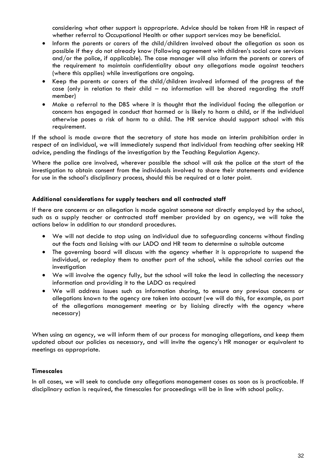considering what other support is appropriate. Advice should be taken from HR in respect of whether referral to Occupational Health or other support services may be beneficial.

- Inform the parents or carers of the child/children involved about the allegation as soon as possible if they do not already know (following agreement with children's social care services and/or the police, if applicable). The case manager will also inform the parents or carers of the requirement to maintain confidentiality about any allegations made against teachers (where this applies) while investigations are ongoing.
- Keep the parents or carers of the child/children involved informed of the progress of the case (only in relation to their child – no information will be shared regarding the staff member)
- Make a referral to the DBS where it is thought that the individual facing the allegation or concern has engaged in conduct that harmed or is likely to harm a child, or if the individual otherwise poses a risk of harm to a child. The HR service should support school with this requirement.

If the school is made aware that the secretary of state has made an interim prohibition order in respect of an individual, we will immediately suspend that individual from teaching after seeking HR advice, pending the findings of the investigation by the Teaching Regulation Agency.

Where the police are involved, wherever possible the school will ask the police at the start of the investigation to obtain consent from the individuals involved to share their statements and evidence for use in the school's disciplinary process, should this be required at a later point.

# **Additional considerations for supply teachers and all contracted staff**

If there are concerns or an allegation is made against someone not directly employed by the school, such as a supply teacher or contracted staff member provided by an agency, we will take the actions below in addition to our standard procedures.

- We will not decide to stop using an individual due to safeguarding concerns without finding out the facts and liaising with our LADO and HR team to determine a suitable outcome
- The governing board will discuss with the agency whether it is appropriate to suspend the individual, or redeploy them to another part of the school, while the school carries out the investigation
- We will involve the agency fully, but the school will take the lead in collecting the necessary information and providing it to the LADO as required
- We will address issues such as information sharing, to ensure any previous concerns or allegations known to the agency are taken into account (we will do this, for example, as part of the allegations management meeting or by liaising directly with the agency where necessary)

When using an agency, we will inform them of our process for managing allegations, and keep them updated about our policies as necessary, and will invite the agency's HR manager or equivalent to meetings as appropriate.

#### **Timescales**

In all cases, we will seek to conclude any allegations management cases as soon as is practicable. If disciplinary action is required, the timescales for proceedings will be in line with school policy.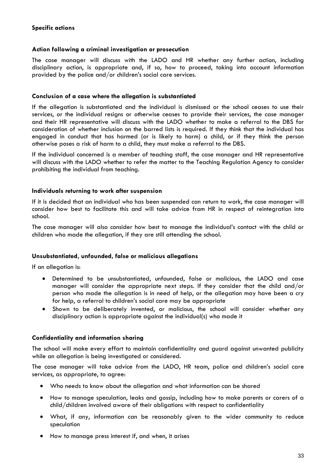# **Specific actions**

## **Action following a criminal investigation or prosecution**

The case manager will discuss with the LADO and HR whether any further action, including disciplinary action, is appropriate and, if so, how to proceed, taking into account information provided by the police and/or children's social care services.

#### **Conclusion of a case where the allegation is substantiated**

If the allegation is substantiated and the individual is dismissed or the school ceases to use their services, or the individual resigns or otherwise ceases to provide their services, the case manager and their HR representative will discuss with the LADO whether to make a referral to the DBS for consideration of whether inclusion on the barred lists is required. If they think that the individual has engaged in conduct that has harmed (or is likely to harm) a child, or if they think the person otherwise poses a risk of harm to a child, they must make a referral to the DBS.

If the individual concerned is a member of teaching staff, the case manager and HR representative will discuss with the LADO whether to refer the matter to the Teaching Regulation Agency to consider prohibiting the individual from teaching.

#### **Individuals returning to work after suspension**

If it is decided that an individual who has been suspended can return to work, the case manager will consider how best to facilitate this and will take advice from HR in respect of reintegration into school.

The case manager will also consider how best to manage the individual's contact with the child or children who made the allegation, if they are still attending the school.

# **Unsubstantiated, unfounded, false or malicious allegations**

If an allegation is:

- Determined to be unsubstantiated, unfounded, false or malicious, the LADO and case manager will consider the appropriate next steps. If they consider that the child and/or person who made the allegation is in need of help, or the allegation may have been a cry for help, a referral to children's social care may be appropriate
- Shown to be deliberately invented, or malicious, the school will consider whether any disciplinary action is appropriate against the individual(s) who made it

# **Confidentiality and information sharing**

The school will make every effort to maintain confidentiality and guard against unwanted publicity while an allegation is being investigated or considered.

The case manager will take advice from the LADO, HR team, police and children's social care services, as appropriate, to agree:

- Who needs to know about the allegation and what information can be shared
- How to manage speculation, leaks and gossip, including how to make parents or carers of a child/children involved aware of their obligations with respect to confidentiality
- What, if any, information can be reasonably given to the wider community to reduce speculation
- How to manage press interest if, and when, it arises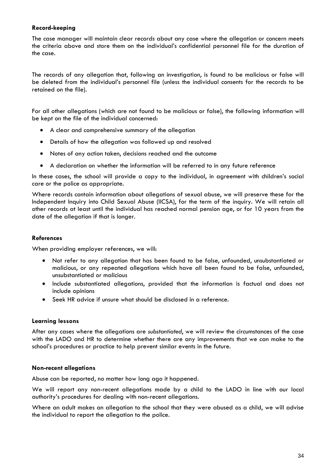#### **Record-keeping**

The case manager will maintain clear records about any case where the allegation or concern meets the criteria above and store them on the individual's confidential personnel file for the duration of the case.

The records of any allegation that, following an investigation, is found to be malicious or false will be deleted from the individual's personnel file (unless the individual consents for the records to be retained on the file).

For all other allegations (which are not found to be malicious or false), the following information will be kept on the file of the individual concerned:

- A clear and comprehensive summary of the allegation
- Details of how the allegation was followed up and resolved
- Notes of any action taken, decisions reached and the outcome
- A declaration on whether the information will be referred to in any future reference

In these cases, the school will provide a copy to the individual, in agreement with children's social care or the police as appropriate.

Where records contain information about allegations of sexual abuse, we will preserve these for the Independent Inquiry into Child Sexual Abuse (IICSA), for the term of the inquiry. We will retain all other records at least until the individual has reached normal pension age, or for 10 years from the date of the allegation if that is longer.

#### **References**

When providing employer references, we will:

- Not refer to any allegation that has been found to be false, unfounded, unsubstantiated or malicious, or any repeated allegations which have all been found to be false, unfounded, unsubstantiated or malicious
- Include substantiated allegations, provided that the information is factual and does not include opinions
- Seek HR advice if unsure what should be disclosed in a reference.

#### **Learning lessons**

After any cases where the allegations are *substantiated*, we will review the circumstances of the case with the LADO and HR to determine whether there are any improvements that we can make to the school's procedures or practice to help prevent similar events in the future.

#### **Non-recent allegations**

Abuse can be reported, no matter how long ago it happened.

We will report any non-recent allegations made by a child to the LADO in line with our local authority's procedures for dealing with non-recent allegations.

Where an adult makes an allegation to the school that they were abused as a child, we will advise the individual to report the allegation to the police.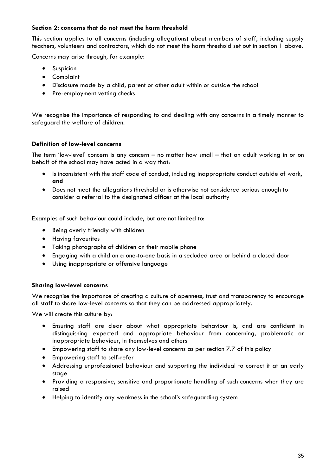#### **Section 2: concerns that do not meet the harm threshold**

This section applies to all concerns (including allegations) about members of staff, including supply teachers, volunteers and contractors, which do not meet the harm threshold set out in section 1 above.

Concerns may arise through, for example:

- Suspicion
- Complaint
- Disclosure made by a child, parent or other adult within or outside the school
- Pre-employment vetting checks

We recognise the importance of responding to and dealing with any concerns in a timely manner to safeguard the welfare of children.

#### **Definition of low-level concerns**

The term 'low-level' concern is any concern – no matter how small – that an adult working in or on behalf of the school may have acted in a way that:

- Is inconsistent with the staff code of conduct, including inappropriate conduct outside of work, **and**
- Does not meet the allegations threshold or is otherwise not considered serious enough to consider a referral to the designated officer at the local authority

Examples of such behaviour could include, but are not limited to:

- Being overly friendly with children
- **•** Having favourites
- Taking photographs of children on their mobile phone
- Engaging with a child on a one-to-one basis in a secluded area or behind a closed door
- Using inappropriate or offensive language

#### **Sharing low-level concerns**

We recognise the importance of creating a culture of openness, trust and transparency to encourage all staff to share low-level concerns so that they can be addressed appropriately.

We will create this culture by:

- Ensuring staff are clear about what appropriate behaviour is, and are confident in distinguishing expected and appropriate behaviour from concerning, problematic or inappropriate behaviour, in themselves and others
- Empowering staff to share any low-level concerns as per section 7.7 of this policy
- Empowering staff to self-refer
- Addressing unprofessional behaviour and supporting the individual to correct it at an early stage
- Providing a responsive, sensitive and proportionate handling of such concerns when they are raised
- Helping to identify any weakness in the school's safeguarding system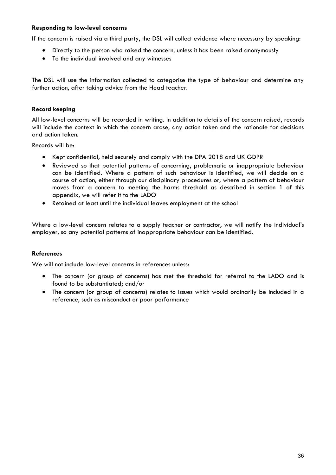# **Responding to low-level concerns**

If the concern is raised via a third party, the DSL will collect evidence where necessary by speaking:

- Directly to the person who raised the concern, unless it has been raised anonymously
- To the individual involved and any witnesses

The DSL will use the information collected to categorise the type of behaviour and determine any further action, after taking advice from the Head teacher.

#### **Record keeping**

All low-level concerns will be recorded in writing. In addition to details of the concern raised, records will include the context in which the concern arose, any action taken and the rationale for decisions and action taken.

Records will be:

- Kept confidential, held securely and comply with the DPA 2018 and UK GDPR
- Reviewed so that potential patterns of concerning, problematic or inappropriate behaviour can be identified. Where a pattern of such behaviour is identified, we will decide on a course of action, either through our disciplinary procedures or, where a pattern of behaviour moves from a concern to meeting the harms threshold as described in section 1 of this appendix, we will refer it to the LADO
- Retained at least until the individual leaves employment at the school

Where a low-level concern relates to a supply teacher or contractor, we will notify the individual's employer, so any potential patterns of inappropriate behaviour can be identified.

#### **References**

We will not include low-level concerns in references unless:

- The concern (or group of concerns) has met the threshold for referral to the LADO and is found to be substantiated; and/or
- The concern (or group of concerns) relates to issues which would ordinarily be included in a reference, such as misconduct or poor performance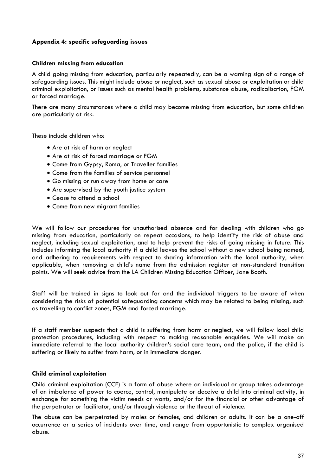## **Appendix 4: specific safeguarding issues**

#### **Children missing from education**

A child going missing from education, particularly repeatedly, can be a warning sign of a range of safeguarding issues. This might include abuse or neglect, such as sexual abuse or exploitation or child criminal exploitation, or issues such as mental health problems, substance abuse, radicalisation, FGM or forced marriage.

There are many circumstances where a child may become missing from education, but some children are particularly at risk.

These include children who:

- Are at risk of harm or neglect
- Are at risk of forced marriage or FGM
- Come from Gypsy, Roma, or Traveller families
- Come from the families of service personnel
- Go missing or run away from home or care
- Are supervised by the youth justice system
- Cease to attend a school
- Come from new migrant families

We will follow our procedures for unauthorised absence and for dealing with children who go missing from education, particularly on repeat occasions, to help identify the risk of abuse and neglect, including sexual exploitation, and to help prevent the risks of going missing in future. This includes informing the local authority if a child leaves the school without a new school being named, and adhering to requirements with respect to sharing information with the local authority, when applicable, when removing a child's name from the admission register at non-standard transition points. We will seek advice from the LA Children Missing Education Officer, Jane Booth.

Staff will be trained in signs to look out for and the individual triggers to be aware of when considering the risks of potential safeguarding concerns which may be related to being missing, such as travelling to conflict zones, FGM and forced marriage.

If a staff member suspects that a child is suffering from harm or neglect, we will follow local child protection procedures, including with respect to making reasonable enquiries. We will make an immediate referral to the local authority children's social care team, and the police, if the child is suffering or likely to suffer from harm, or in immediate danger.

#### **Child criminal exploitation**

Child criminal exploitation (CCE) is a form of abuse where an individual or group takes advantage of an imbalance of power to coerce, control, manipulate or deceive a child into criminal activity, in exchange for something the victim needs or wants, and/or for the financial or other advantage of the perpetrator or facilitator, and/or through violence or the threat of violence.

The abuse can be perpetrated by males or females, and children or adults. It can be a one-off occurrence or a series of incidents over time, and range from opportunistic to complex organised abuse.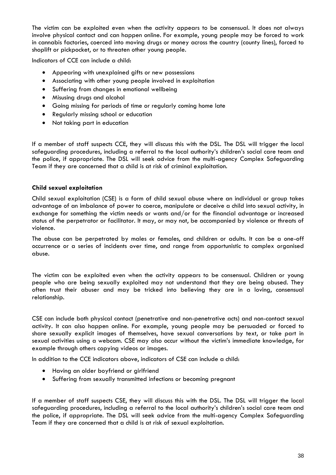The victim can be exploited even when the activity appears to be consensual. It does not always involve physical contact and can happen online. For example, young people may be forced to work in cannabis factories, coerced into moving drugs or money across the country (county lines), forced to shoplift or pickpocket, or to threaten other young people.

Indicators of CCE can include a child:

- Appearing with unexplained gifts or new possessions
- Associating with other young people involved in exploitation
- Suffering from changes in emotional wellbeing
- Misusing drugs and alcohol
- Going missing for periods of time or regularly coming home late
- Regularly missing school or education
- Not taking part in education

If a member of staff suspects CCE, they will discuss this with the DSL. The DSL will trigger the local safeguarding procedures, including a referral to the local authority's children's social care team and the police, if appropriate. The DSL will seek advice from the multi-agency Complex Safeguarding Team if they are concerned that a child is at risk of criminal exploitation.

#### **Child sexual exploitation**

Child sexual exploitation (CSE) is a form of child sexual abuse where an individual or group takes advantage of an imbalance of power to coerce, manipulate or deceive a child into sexual activity, in exchange for something the victim needs or wants and/or for the financial advantage or increased status of the perpetrator or facilitator. It may, or may not, be accompanied by violence or threats of violence.

The abuse can be perpetrated by males or females, and children or adults. It can be a one-off occurrence or a series of incidents over time, and range from opportunistic to complex organised abuse.

The victim can be exploited even when the activity appears to be consensual. Children or young people who are being sexually exploited may not understand that they are being abused. They often trust their abuser and may be tricked into believing they are in a loving, consensual relationship.

CSE can include both physical contact (penetrative and non-penetrative acts) and non-contact sexual activity. It can also happen online. For example, young people may be persuaded or forced to share sexually explicit images of themselves, have sexual conversations by text, or take part in sexual activities using a webcam. CSE may also occur without the victim's immediate knowledge, for example through others copying videos or images.

In addition to the CCE indicators above, indicators of CSE can include a child:

- Having an older boyfriend or girlfriend
- Suffering from sexually transmitted infections or becoming pregnant

If a member of staff suspects CSE, they will discuss this with the DSL. The DSL will trigger the local safeguarding procedures, including a referral to the local authority's children's social care team and the police, if appropriate. The DSL will seek advice from the multi-agency Complex Safeguarding Team if they are concerned that a child is at risk of sexual exploitation.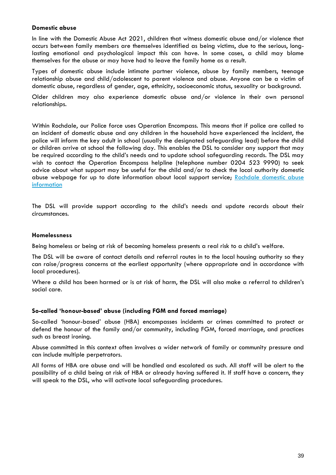#### **Domestic abuse**

In line with the Domestic Abuse Act 2021, children that witness domestic abuse and/or violence that occurs between family members are themselves identified as being victims, due to the serious, longlasting emotional and psychological impact this can have. In some cases, a child may blame themselves for the abuse or may have had to leave the family home as a result.

Types of domestic abuse include intimate partner violence, abuse by family members, teenage relationship abuse and child/adolescent to parent violence and abuse. Anyone can be a victim of domestic abuse, regardless of gender, age, ethnicity, socioeconomic status, sexuality or background.

Older children may also experience domestic abuse and/or violence in their own personal relationships.

Within Rochdale, our Police force uses Operation Encompass. This means that if police are called to an incident of domestic abuse and any children in the household have experienced the incident, the police will inform the key adult in school (usually the designated safeguarding lead) before the child or children arrive at school the following day. This enables the DSL to consider any support that may be required according to the child's needs and to update school safeguarding records. The DSL may wish to contact the Operation Encompass helpline (telephone number 0204 523 9990) to seek advice about what support may be useful for the child and/or to check the local authority domestic abuse webpage for up to date information about local support service; Rochdale domestic abuse **[information](rhttp://www.rochdale.gov.uk/health-and-wellbeing/domestic-violence-and-abuse/Pages/domestic-violence-and-abuse.aspx)** 

The DSL will provide support according to the child's needs and update records about their circumstances.

#### **Homelessness**

Being homeless or being at risk of becoming homeless presents a real risk to a child's welfare.

The DSL will be aware of contact details and referral routes in to the local housing authority so they can raise/progress concerns at the earliest opportunity (where appropriate and in accordance with local procedures).

Where a child has been harmed or is at risk of harm, the DSL will also make a referral to children's social care.

#### **So-called 'honour-based' abuse (including FGM and forced marriage)**

So-called 'honour-based' abuse (HBA) encompasses incidents or crimes committed to protect or defend the honour of the family and/or community, including FGM, forced marriage, and practices such as breast ironing.

Abuse committed in this context often involves a wider network of family or community pressure and can include multiple perpetrators.

All forms of HBA are abuse and will be handled and escalated as such. All staff will be alert to the possibility of a child being at risk of HBA or already having suffered it. If staff have a concern, they will speak to the DSL, who will activate local safeguarding procedures.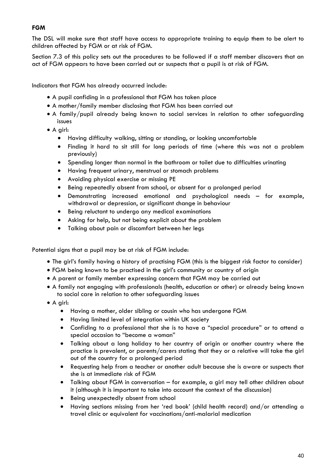# **FGM**

The DSL will make sure that staff have access to appropriate training to equip them to be alert to children affected by FGM or at risk of FGM.

Section 7.3 of this policy sets out the procedures to be followed if a staff member discovers that an act of FGM appears to have been carried out or suspects that a pupil is at risk of FGM.

Indicators that FGM has already occurred include:

- A pupil confiding in a professional that FGM has taken place
- A mother/family member disclosing that FGM has been carried out
- A family/pupil already being known to social services in relation to other safeguarding issues
- A girl:
	- Having difficulty walking, sitting or standing, or looking uncomfortable
	- Finding it hard to sit still for long periods of time (where this was not a problem previously)
	- Spending longer than normal in the bathroom or toilet due to difficulties urinating
	- Having frequent urinary, menstrual or stomach problems
	- Avoiding physical exercise or missing PE
	- Being repeatedly absent from school, or absent for a prolonged period
	- Demonstrating increased emotional and psychological needs for example, withdrawal or depression, or significant change in behaviour
	- Being reluctant to undergo any medical examinations
	- Asking for help, but not being explicit about the problem
	- Talking about pain or discomfort between her legs

Potential signs that a pupil may be at risk of FGM include:

- The girl's family having a history of practising FGM (this is the biggest risk factor to consider)
- FGM being known to be practised in the girl's community or country of origin
- A parent or family member expressing concern that FGM may be carried out
- A family not engaging with professionals (health, education or other) or already being known to social care in relation to other safeguarding issues
- A girl:
	- Having a mother, older sibling or cousin who has undergone FGM
	- Having limited level of integration within UK society
	- Confiding to a professional that she is to have a "special procedure" or to attend a special occasion to "become a woman"
	- Talking about a long holiday to her country of origin or another country where the practice is prevalent, or parents/carers stating that they or a relative will take the girl out of the country for a prolonged period
	- Requesting help from a teacher or another adult because she is aware or suspects that she is at immediate risk of FGM
	- Talking about FGM in conversation for example, a girl may tell other children about it (although it is important to take into account the context of the discussion)
	- Being unexpectedly absent from school
	- Having sections missing from her 'red book' (child health record) and/or attending a travel clinic or equivalent for vaccinations/anti-malarial medication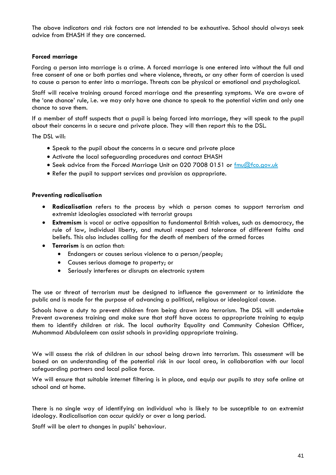The above indicators and risk factors are not intended to be exhaustive. School should always seek advice from EHASH if they are concerned.

#### **Forced marriage**

Forcing a person into marriage is a crime. A forced marriage is one entered into without the full and free consent of one or both parties and where violence, threats, or any other form of coercion is used to cause a person to enter into a marriage. Threats can be physical or emotional and psychological.

Staff will receive training around forced marriage and the presenting symptoms. We are aware of the 'one chance' rule, i.e. we may only have one chance to speak to the potential victim and only one chance to save them.

If a member of staff suspects that a pupil is being forced into marriage, they will speak to the pupil about their concerns in a secure and private place. They will then report this to the DSL.

The DSL will:

- Speak to the pupil about the concerns in a secure and private place
- Activate the local safeguarding procedures and contact EHASH
- Seek advice from the Forced Marriage Unit on 020 7008 0151 or [fmu@fco.gov.uk](mailto:fmu@fco.gov.uk)
- Refer the pupil to support services and provision as appropriate.

#### **Preventing radicalisation**

- **Radicalisation** refers to the process by which a person comes to support terrorism and extremist ideologies associated with terrorist groups
- **Extremism** is vocal or active opposition to fundamental British values, such as democracy, the rule of law, individual liberty, and mutual respect and tolerance of different faiths and beliefs. This also includes calling for the death of members of the armed forces
- **Terrorism** is an action that:
	- Endangers or causes serious violence to a person/people;
	- Causes serious damage to property; or
	- Seriously interferes or disrupts an electronic system

The use or threat of terrorism must be designed to influence the government or to intimidate the public and is made for the purpose of advancing a political, religious or ideological cause.

Schools have a duty to prevent children from being drawn into terrorism. The DSL will undertake Prevent awareness training and make sure that staff have access to appropriate training to equip them to identify children at risk. The local authority Equality and Community Cohesion Officer, Muhammad Abdulaleem can assist schools in providing appropriate training.

We will assess the risk of children in our school being drawn into terrorism. This assessment will be based on an understanding of the potential risk in our local area, in collaboration with our local safeguarding partners and local police force.

We will ensure that suitable internet filtering is in place, and equip our pupils to stay safe online at school and at home.

There is no single way of identifying an individual who is likely to be susceptible to an extremist ideology. Radicalisation can occur quickly or over a long period.

Staff will be alert to changes in pupils' behaviour.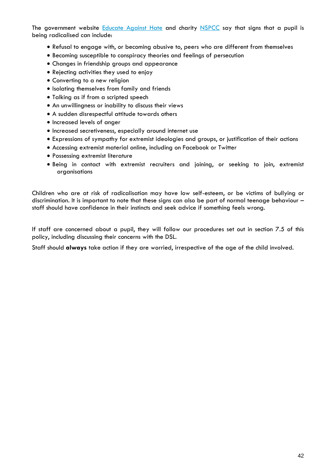The government website **Educate Against Hate and charity [NSPCC](https://www.nspcc.org.uk/what-you-can-do/report-abuse/dedicated-helplines/protecting-children-from-radicalisation/)** say that signs that a pupil is being radicalised can include:

- Refusal to engage with, or becoming abusive to, peers who are different from themselves
- Becoming susceptible to conspiracy theories and feelings of persecution
- Changes in friendship groups and appearance
- Rejecting activities they used to enjoy
- Converting to a new religion
- **•** Isolating themselves from family and friends
- Talking as if from a scripted speech
- An unwillingness or inability to discuss their views
- A sudden disrespectful attitude towards others
- Increased levels of anger
- Increased secretiveness, especially around internet use
- Expressions of sympathy for extremist ideologies and groups, or justification of their actions
- Accessing extremist material online, including on Facebook or Twitter
- Possessing extremist literature
- Being in contact with extremist recruiters and joining, or seeking to join, extremist organisations

Children who are at risk of radicalisation may have low self-esteem, or be victims of bullying or discrimination. It is important to note that these signs can also be part of normal teenage behaviour – staff should have confidence in their instincts and seek advice if something feels wrong.

If staff are concerned about a pupil, they will follow our procedures set out in section 7.5 of this policy, including discussing their concerns with the DSL.

Staff should **always** take action if they are worried, irrespective of the age of the child involved.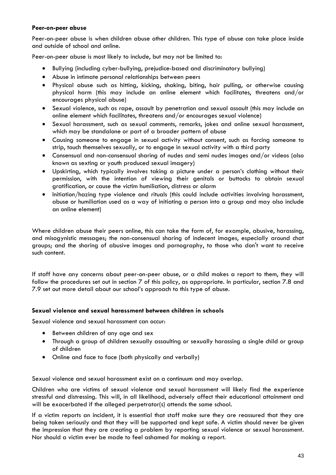#### **Peer-on-peer abuse**

Peer-on-peer abuse is when children abuse other children. This type of abuse can take place inside and outside of school and online.

Peer-on-peer abuse is most likely to include, but may not be limited to:

- Bullying (including cyber-bullying, prejudice-based and discriminatory bullying)
- Abuse in intimate personal relationships between peers
- Physical abuse such as hitting, kicking, shaking, biting, hair pulling, or otherwise causing physical harm (this may include an online element which facilitates, threatens and/or encourages physical abuse)
- Sexual violence, such as rape, assault by penetration and sexual assault (this may include an online element which facilitates, threatens and/or encourages sexual violence)
- Sexual harassment, such as sexual comments, remarks, jokes and online sexual harassment, which may be standalone or part of a broader pattern of abuse
- Causing someone to engage in sexual activity without consent, such as forcing someone to strip, touch themselves sexually, or to engage in sexual activity with a third party
- Consensual and non-consensual sharing of nudes and semi nudes images and/or videos (also known as sexting or youth produced sexual imagery)
- Upskirting, which typically involves taking a picture under a person's clothing without their permission, with the intention of viewing their genitals or buttocks to obtain sexual gratification, or cause the victim humiliation, distress or alarm
- Initiation/hazing type violence and rituals (this could include activities involving harassment, abuse or humiliation used as a way of initiating a person into a group and may also include an online element)

Where children abuse their peers online, this can take the form of, for example, abusive, harassing, and misogynistic messages; the non-consensual sharing of indecent images, especially around chat groups; and the sharing of abusive images and pornography, to those who don't want to receive such content.

If staff have any concerns about peer-on-peer abuse, or a child makes a report to them, they will follow the procedures set out in section 7 of this policy, as appropriate. In particular, section 7.8 and 7.9 set out more detail about our school's approach to this type of abuse.

# **Sexual violence and sexual harassment between children in schools**

Sexual violence and sexual harassment can occur:

- Between children of any age and sex
- Through a group of children sexually assaulting or sexually harassing a single child or group of children
- Online and face to face (both physically and verbally)

Sexual violence and sexual harassment exist on a continuum and may overlap.

Children who are victims of sexual violence and sexual harassment will likely find the experience stressful and distressing. This will, in all likelihood, adversely affect their educational attainment and will be exacerbated if the alleged perpetrator(s) attends the same school.

If a victim reports an incident, it is essential that staff make sure they are reassured that they are being taken seriously and that they will be supported and kept safe. A victim should never be given the impression that they are creating a problem by reporting sexual violence or sexual harassment. Nor should a victim ever be made to feel ashamed for making a report.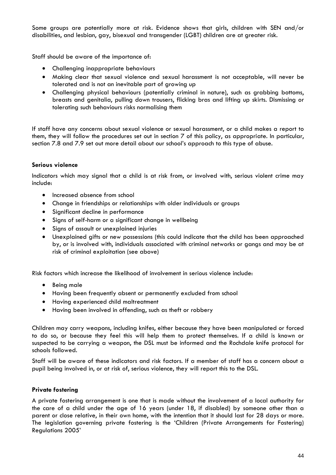Some groups are potentially more at risk. Evidence shows that girls, children with SEN and/or disabilities, and lesbian, gay, bisexual and transgender (LGBT) children are at greater risk.

Staff should be aware of the importance of:

- Challenging inappropriate behaviours
- Making clear that sexual violence and sexual harassment is not acceptable, will never be tolerated and is not an inevitable part of growing up
- Challenging physical behaviours (potentially criminal in nature), such as grabbing bottoms, breasts and genitalia, pulling down trousers, flicking bras and lifting up skirts. Dismissing or tolerating such behaviours risks normalising them

If staff have any concerns about sexual violence or sexual harassment, or a child makes a report to them, they will follow the procedures set out in section 7 of this policy, as appropriate. In particular, section 7.8 and 7.9 set out more detail about our school's approach to this type of abuse.

# **Serious violence**

Indicators which may signal that a child is at risk from, or involved with, serious violent crime may include:

- Increased absence from school
- Change in friendships or relationships with older individuals or groups
- Significant decline in performance
- Signs of self-harm or a significant change in wellbeing
- Signs of assault or unexplained injuries
- Unexplained gifts or new possessions (this could indicate that the child has been approached by, or is involved with, individuals associated with criminal networks or gangs and may be at risk of criminal exploitation (see above)

Risk factors which increase the likelihood of involvement in serious violence include:

- Being male
- Having been frequently absent or permanently excluded from school
- Having experienced child maltreatment
- Having been involved in offending, such as theft or robbery

Children may carry weapons, including knifes, either because they have been manipulated or forced to do so, or because they feel this will help them to protect themselves. If a child is known or suspected to be carrying a weapon, the DSL must be informed and the Rochdale knife protocol for schools followed.

Staff will be aware of these indicators and risk factors. If a member of staff has a concern about a pupil being involved in, or at risk of, serious violence, they will report this to the DSL.

# **Private fostering**

A private fostering arrangement is one that is made without the involvement of a local authority for the care of a child under the age of 16 years (under 18, if disabled) by someone other than a parent or close relative, in their own home, with the intention that it should last for 28 days or more. The legislation governing private fostering is the 'Children (Private Arrangements for Fostering) Regulations 2005'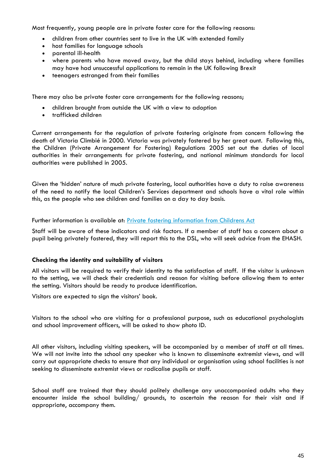Most frequently, young people are in private foster care for the following reasons:

- children from other countries sent to live in the UK with extended family
- host families for language schools
- parental ill-health
- where parents who have moved away, but the child stays behind, including where families may have had unsuccessful applications to remain in the UK following Brexit
- teenagers estranged from their families

There may also be private foster care arrangements for the following reasons;

- children brought from outside the UK with a view to adoption
- trafficked children

Current arrangements for the regulation of private fostering originate from concern following the death of Victoria Climbié in 2000. Victoria was privately fostered by her great aunt. Following this, the Children (Private Arrangement for Fostering) Regulations 2005 set out the duties of local authorities in their arrangements for private fostering, and national minimum standards for local authorities were published in 2005.

Given the 'hidden' nature of much private fostering, local authorities have a duty to raise awareness of the need to notify the local Children's Services department and schools have a vital role within this, as the people who see children and families on a day to day basis.

Further information is available at: [Private fostering information from Childrens Act](https://www.gov.uk/government/uploads/system/uploads/attachment_data/file/274414/Children_Act_1989_private_fostering.pdf)

Staff will be aware of these indicators and risk factors. If a member of staff has a concern about a pupil being privately fostered, they will report this to the DSL, who will seek advice from the EHASH.

# **Checking the identity and suitability of visitors**

All visitors will be required to verify their identity to the satisfaction of staff. If the visitor is unknown to the setting, we will check their credentials and reason for visiting before allowing them to enter the setting. Visitors should be ready to produce identification.

Visitors are expected to sign the visitors' book.

Visitors to the school who are visiting for a professional purpose, such as educational psychologists and school improvement officers, will be asked to show photo ID.

All other visitors, including visiting speakers, will be accompanied by a member of staff at all times. We will not invite into the school any speaker who is known to disseminate extremist views, and will carry out appropriate checks to ensure that any individual or organisation using school facilities is not seeking to disseminate extremist views or radicalise pupils or staff.

School staff are trained that they should politely challenge any unaccompanied adults who they encounter inside the school building/ grounds, to ascertain the reason for their visit and if appropriate, accompany them.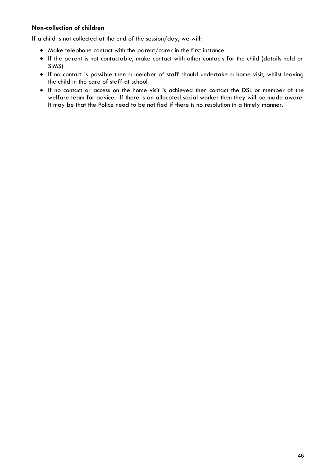# **Non-collection of children**

If a child is not collected at the end of the session/day, we will:

- Make telephone contact with the parent/carer in the first instance
- If the parent is not contactable, make contact with other contacts for the child (details held on SIMS)
- If no contact is possible then a member of staff should undertake a home visit, whilst leaving the child in the care of staff at school
- If no contact or access on the home visit is achieved then contact the DSL or member of the welfare team for advice. If there is an allocated social worker then they will be made aware. It may be that the Police need to be notified if there is no resolution in a timely manner.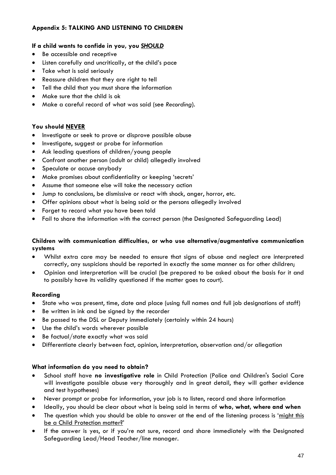# **Appendix 5: TALKING AND LISTENING TO CHILDREN**

# **If a child wants to confide in you, you** *SHOULD*

- Be accessible and receptive
- Listen carefully and uncritically, at the child's pace
- Take what is said seriously
- Reassure children that they are right to tell
- Tell the child that you must share the information
- Make sure that the child is ok
- Make a careful record of what was said (see *Recording*).

# **You should NEVER**

- Investigate or seek to prove or disprove possible abuse
- Investigate, suggest or probe for information
- Ask leading questions of children/young people
- Confront another person (adult or child) allegedly involved
- Speculate or accuse anybody
- Make promises about confidentiality or keeping 'secrets'
- Assume that someone else will take the necessary action
- Jump to conclusions, be dismissive or react with shock, anger, horror, etc.
- Offer opinions about what is being said or the persons allegedly involved
- Forget to record what you have been told
- Fail to share the information with the correct person (the Designated Safeguarding Lead)

# **Children with communication difficulties, or who use alternative/augmentative communication systems**

- Whilst extra care may be needed to ensure that signs of abuse and neglect are interpreted correctly, any suspicions should be reported in exactly the same manner as for other children;
- Opinion and interpretation will be crucial (be prepared to be asked about the basis for it and to possibly have its validity questioned if the matter goes to court).

# **Recording**

- State who was present, time, date and place (using full names and full job designations of staff)
- Be written in ink and be signed by the recorder
- Be passed to the DSL or Deputy immediately (certainly within 24 hours)
- Use the child's words wherever possible
- Be factual/state exactly what was said
- Differentiate clearly between fact, opinion, interpretation, observation and/or allegation

# **What information do you need to obtain?**

- School staff have **no investigative role** in Child Protection (Police and Children's Social Care will investigate possible abuse very thoroughly and in great detail, they will gather evidence and test hypotheses)
- Never prompt or probe for information, your job is to listen, record and share information
- Ideally, you should be clear about what is being said in terms of **who, what, where and when**
- The question which you should be able to answer at the end of the listening process is 'might this be a Child Protection matter?'
- If the answer is yes, or if you're not sure, record and share immediately with the Designated Safeguarding Lead/Head Teacher/line manager.